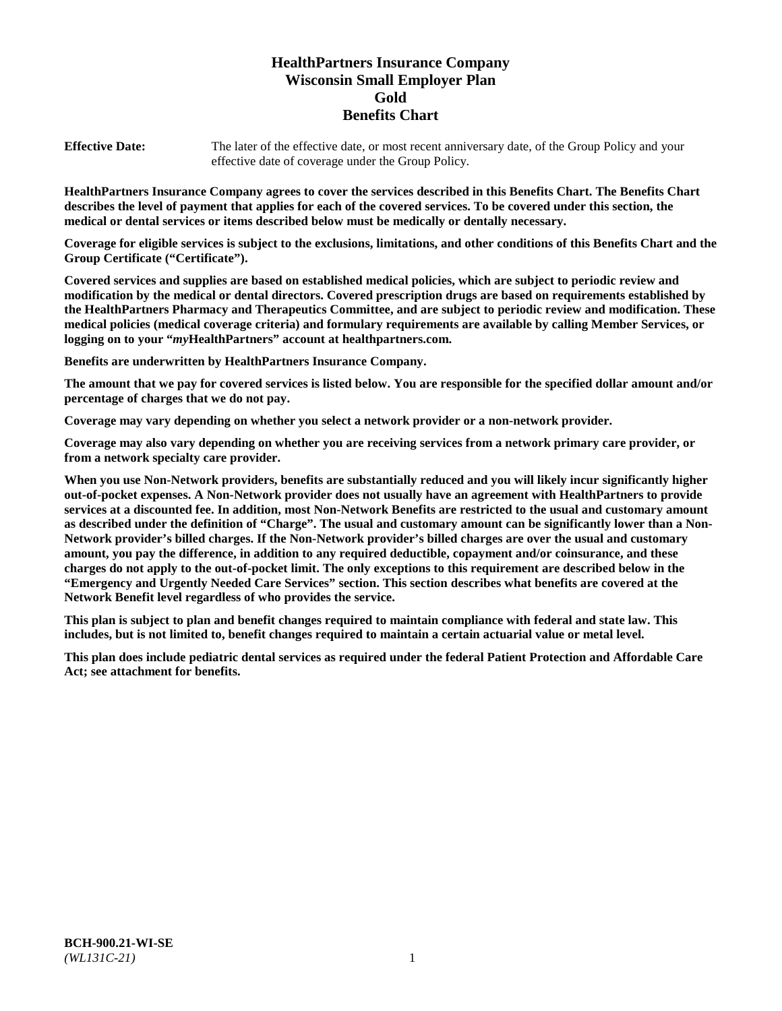# **HealthPartners Insurance Company Wisconsin Small Employer Plan Gold Benefits Chart**

**Effective Date:** The later of the effective date, or most recent anniversary date, of the Group Policy and your effective date of coverage under the Group Policy.

**HealthPartners Insurance Company agrees to cover the services described in this Benefits Chart. The Benefits Chart describes the level of payment that applies for each of the covered services. To be covered under this section, the medical or dental services or items described below must be medically or dentally necessary.**

**Coverage for eligible services is subject to the exclusions, limitations, and other conditions of this Benefits Chart and the Group Certificate ("Certificate").**

**Covered services and supplies are based on established medical policies, which are subject to periodic review and modification by the medical or dental directors. Covered prescription drugs are based on requirements established by the HealthPartners Pharmacy and Therapeutics Committee, and are subject to periodic review and modification. These medical policies (medical coverage criteria) and formulary requirements are available by calling Member Services, or logging on to your "***my***HealthPartners" account at [healthpartners.com.](https://www.healthpartners.com/hp/index.html)**

**Benefits are underwritten by HealthPartners Insurance Company.**

**The amount that we pay for covered services is listed below. You are responsible for the specified dollar amount and/or percentage of charges that we do not pay.**

**Coverage may vary depending on whether you select a network provider or a non-network provider.**

**Coverage may also vary depending on whether you are receiving services from a network primary care provider, or from a network specialty care provider.**

**When you use Non-Network providers, benefits are substantially reduced and you will likely incur significantly higher out-of-pocket expenses. A Non-Network provider does not usually have an agreement with HealthPartners to provide services at a discounted fee. In addition, most Non-Network Benefits are restricted to the usual and customary amount as described under the definition of "Charge". The usual and customary amount can be significantly lower than a Non-Network provider's billed charges. If the Non-Network provider's billed charges are over the usual and customary amount, you pay the difference, in addition to any required deductible, copayment and/or coinsurance, and these charges do not apply to the out-of-pocket limit. The only exceptions to this requirement are described below in the "Emergency and Urgently Needed Care Services" section. This section describes what benefits are covered at the Network Benefit level regardless of who provides the service.**

**This plan is subject to plan and benefit changes required to maintain compliance with federal and state law. This includes, but is not limited to, benefit changes required to maintain a certain actuarial value or metal level.**

**This plan does include pediatric dental services as required under the federal Patient Protection and Affordable Care Act; see attachment for benefits.**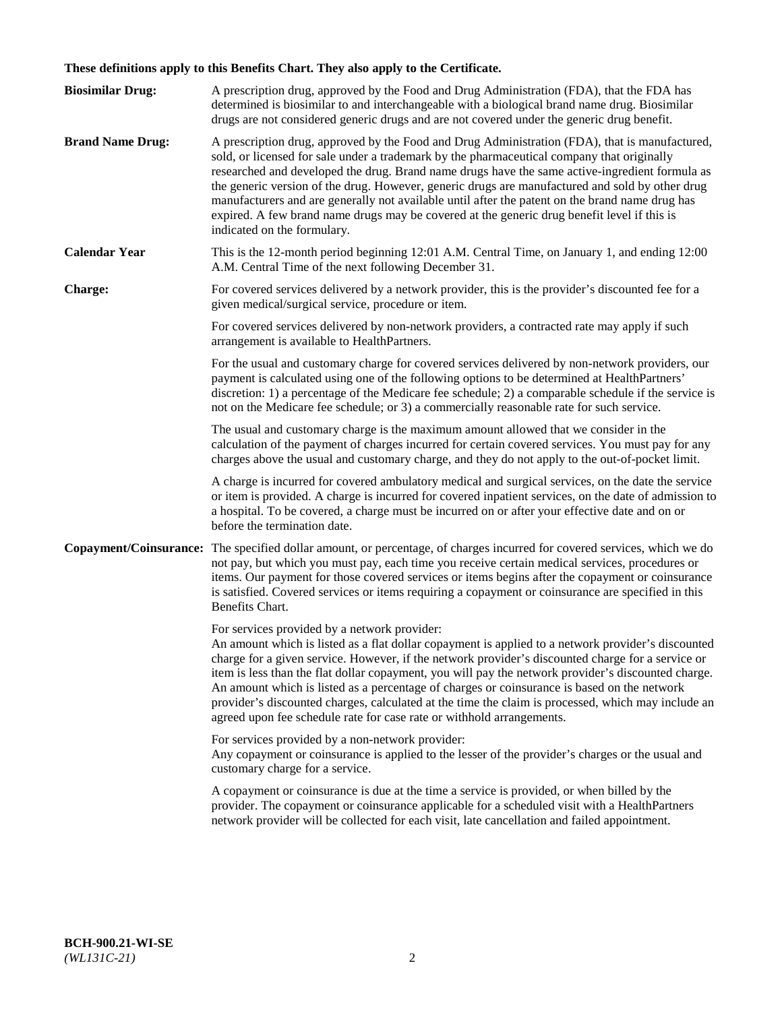# **These definitions apply to this Benefits Chart. They also apply to the Certificate.**

| <b>Biosimilar Drug:</b> | A prescription drug, approved by the Food and Drug Administration (FDA), that the FDA has<br>determined is biosimilar to and interchangeable with a biological brand name drug. Biosimilar<br>drugs are not considered generic drugs and are not covered under the generic drug benefit.                                                                                                                                                                                                                                                                                                                                                     |
|-------------------------|----------------------------------------------------------------------------------------------------------------------------------------------------------------------------------------------------------------------------------------------------------------------------------------------------------------------------------------------------------------------------------------------------------------------------------------------------------------------------------------------------------------------------------------------------------------------------------------------------------------------------------------------|
| <b>Brand Name Drug:</b> | A prescription drug, approved by the Food and Drug Administration (FDA), that is manufactured,<br>sold, or licensed for sale under a trademark by the pharmaceutical company that originally<br>researched and developed the drug. Brand name drugs have the same active-ingredient formula as<br>the generic version of the drug. However, generic drugs are manufactured and sold by other drug<br>manufacturers and are generally not available until after the patent on the brand name drug has<br>expired. A few brand name drugs may be covered at the generic drug benefit level if this is<br>indicated on the formulary.           |
| <b>Calendar Year</b>    | This is the 12-month period beginning 12:01 A.M. Central Time, on January 1, and ending 12:00<br>A.M. Central Time of the next following December 31.                                                                                                                                                                                                                                                                                                                                                                                                                                                                                        |
| <b>Charge:</b>          | For covered services delivered by a network provider, this is the provider's discounted fee for a<br>given medical/surgical service, procedure or item.                                                                                                                                                                                                                                                                                                                                                                                                                                                                                      |
|                         | For covered services delivered by non-network providers, a contracted rate may apply if such<br>arrangement is available to HealthPartners.                                                                                                                                                                                                                                                                                                                                                                                                                                                                                                  |
|                         | For the usual and customary charge for covered services delivered by non-network providers, our<br>payment is calculated using one of the following options to be determined at HealthPartners'<br>discretion: 1) a percentage of the Medicare fee schedule; 2) a comparable schedule if the service is<br>not on the Medicare fee schedule; or 3) a commercially reasonable rate for such service.                                                                                                                                                                                                                                          |
|                         | The usual and customary charge is the maximum amount allowed that we consider in the<br>calculation of the payment of charges incurred for certain covered services. You must pay for any<br>charges above the usual and customary charge, and they do not apply to the out-of-pocket limit.                                                                                                                                                                                                                                                                                                                                                 |
|                         | A charge is incurred for covered ambulatory medical and surgical services, on the date the service<br>or item is provided. A charge is incurred for covered inpatient services, on the date of admission to<br>a hospital. To be covered, a charge must be incurred on or after your effective date and on or<br>before the termination date.                                                                                                                                                                                                                                                                                                |
| Copayment/Coinsurance:  | The specified dollar amount, or percentage, of charges incurred for covered services, which we do<br>not pay, but which you must pay, each time you receive certain medical services, procedures or<br>items. Our payment for those covered services or items begins after the copayment or coinsurance<br>is satisfied. Covered services or items requiring a copayment or coinsurance are specified in this<br>Benefits Chart.                                                                                                                                                                                                             |
|                         | For services provided by a network provider:<br>An amount which is listed as a flat dollar copayment is applied to a network provider's discounted<br>charge for a given service. However, if the network provider's discounted charge for a service or<br>item is less than the flat dollar copayment, you will pay the network provider's discounted charge.<br>An amount which is listed as a percentage of charges or coinsurance is based on the network<br>provider's discounted charges, calculated at the time the claim is processed, which may include an<br>agreed upon fee schedule rate for case rate or withhold arrangements. |
|                         | For services provided by a non-network provider:<br>Any copayment or coinsurance is applied to the lesser of the provider's charges or the usual and<br>customary charge for a service.                                                                                                                                                                                                                                                                                                                                                                                                                                                      |
|                         | A copayment or coinsurance is due at the time a service is provided, or when billed by the<br>provider. The copayment or coinsurance applicable for a scheduled visit with a HealthPartners<br>network provider will be collected for each visit, late cancellation and failed appointment.                                                                                                                                                                                                                                                                                                                                                  |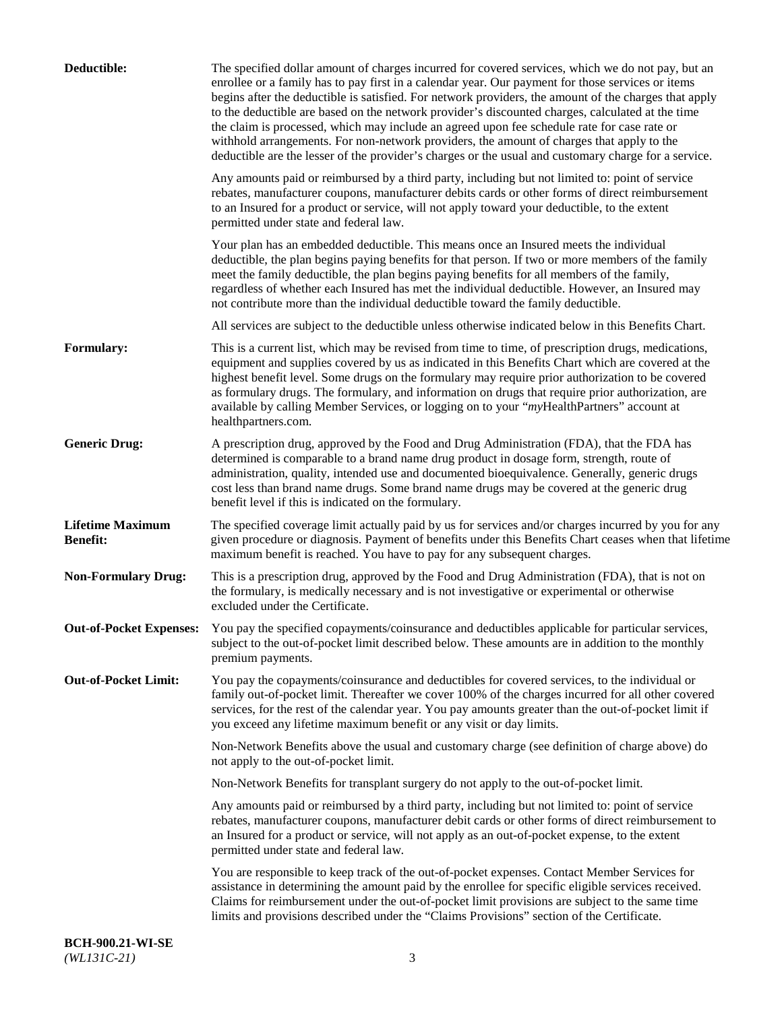| Deductible:                                | The specified dollar amount of charges incurred for covered services, which we do not pay, but an<br>enrollee or a family has to pay first in a calendar year. Our payment for those services or items<br>begins after the deductible is satisfied. For network providers, the amount of the charges that apply<br>to the deductible are based on the network provider's discounted charges, calculated at the time<br>the claim is processed, which may include an agreed upon fee schedule rate for case rate or<br>withhold arrangements. For non-network providers, the amount of charges that apply to the<br>deductible are the lesser of the provider's charges or the usual and customary charge for a service. |
|--------------------------------------------|-------------------------------------------------------------------------------------------------------------------------------------------------------------------------------------------------------------------------------------------------------------------------------------------------------------------------------------------------------------------------------------------------------------------------------------------------------------------------------------------------------------------------------------------------------------------------------------------------------------------------------------------------------------------------------------------------------------------------|
|                                            | Any amounts paid or reimbursed by a third party, including but not limited to: point of service<br>rebates, manufacturer coupons, manufacturer debits cards or other forms of direct reimbursement<br>to an Insured for a product or service, will not apply toward your deductible, to the extent<br>permitted under state and federal law.                                                                                                                                                                                                                                                                                                                                                                            |
|                                            | Your plan has an embedded deductible. This means once an Insured meets the individual<br>deductible, the plan begins paying benefits for that person. If two or more members of the family<br>meet the family deductible, the plan begins paying benefits for all members of the family,<br>regardless of whether each Insured has met the individual deductible. However, an Insured may<br>not contribute more than the individual deductible toward the family deductible.                                                                                                                                                                                                                                           |
|                                            | All services are subject to the deductible unless otherwise indicated below in this Benefits Chart.                                                                                                                                                                                                                                                                                                                                                                                                                                                                                                                                                                                                                     |
| <b>Formulary:</b>                          | This is a current list, which may be revised from time to time, of prescription drugs, medications,<br>equipment and supplies covered by us as indicated in this Benefits Chart which are covered at the<br>highest benefit level. Some drugs on the formulary may require prior authorization to be covered<br>as formulary drugs. The formulary, and information on drugs that require prior authorization, are<br>available by calling Member Services, or logging on to your "myHealthPartners" account at<br>healthpartners.com.                                                                                                                                                                                   |
| <b>Generic Drug:</b>                       | A prescription drug, approved by the Food and Drug Administration (FDA), that the FDA has<br>determined is comparable to a brand name drug product in dosage form, strength, route of<br>administration, quality, intended use and documented bioequivalence. Generally, generic drugs<br>cost less than brand name drugs. Some brand name drugs may be covered at the generic drug<br>benefit level if this is indicated on the formulary.                                                                                                                                                                                                                                                                             |
| <b>Lifetime Maximum</b><br><b>Benefit:</b> | The specified coverage limit actually paid by us for services and/or charges incurred by you for any<br>given procedure or diagnosis. Payment of benefits under this Benefits Chart ceases when that lifetime<br>maximum benefit is reached. You have to pay for any subsequent charges.                                                                                                                                                                                                                                                                                                                                                                                                                                |
| <b>Non-Formulary Drug:</b>                 | This is a prescription drug, approved by the Food and Drug Administration (FDA), that is not on<br>the formulary, is medically necessary and is not investigative or experimental or otherwise<br>excluded under the Certificate.                                                                                                                                                                                                                                                                                                                                                                                                                                                                                       |
|                                            | Out-of-Pocket Expenses: You pay the specified copayments/coinsurance and deductibles applicable for particular services,<br>subject to the out-of-pocket limit described below. These amounts are in addition to the monthly<br>premium payments.                                                                                                                                                                                                                                                                                                                                                                                                                                                                       |
| <b>Out-of-Pocket Limit:</b>                | You pay the copayments/coinsurance and deductibles for covered services, to the individual or<br>family out-of-pocket limit. Thereafter we cover 100% of the charges incurred for all other covered<br>services, for the rest of the calendar year. You pay amounts greater than the out-of-pocket limit if<br>you exceed any lifetime maximum benefit or any visit or day limits.                                                                                                                                                                                                                                                                                                                                      |
|                                            | Non-Network Benefits above the usual and customary charge (see definition of charge above) do<br>not apply to the out-of-pocket limit.                                                                                                                                                                                                                                                                                                                                                                                                                                                                                                                                                                                  |
|                                            | Non-Network Benefits for transplant surgery do not apply to the out-of-pocket limit.                                                                                                                                                                                                                                                                                                                                                                                                                                                                                                                                                                                                                                    |
|                                            | Any amounts paid or reimbursed by a third party, including but not limited to: point of service<br>rebates, manufacturer coupons, manufacturer debit cards or other forms of direct reimbursement to<br>an Insured for a product or service, will not apply as an out-of-pocket expense, to the extent<br>permitted under state and federal law.                                                                                                                                                                                                                                                                                                                                                                        |
|                                            | You are responsible to keep track of the out-of-pocket expenses. Contact Member Services for<br>assistance in determining the amount paid by the enrollee for specific eligible services received.<br>Claims for reimbursement under the out-of-pocket limit provisions are subject to the same time<br>limits and provisions described under the "Claims Provisions" section of the Certificate.                                                                                                                                                                                                                                                                                                                       |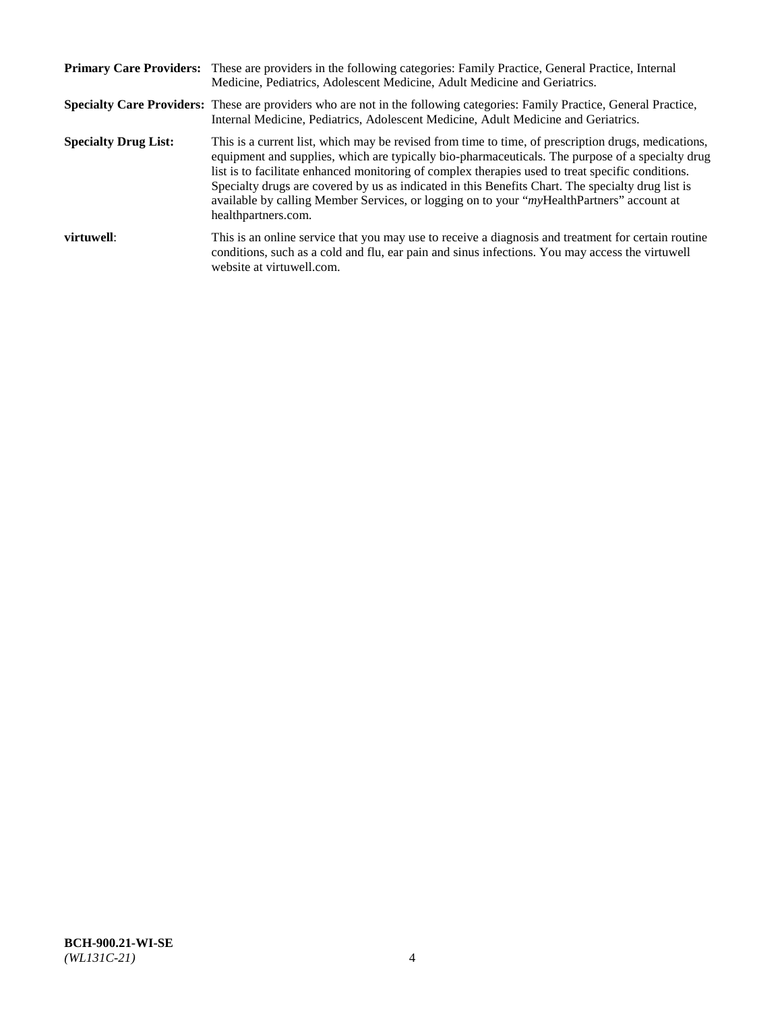|                             | Primary Care Providers: These are providers in the following categories: Family Practice, General Practice, Internal<br>Medicine, Pediatrics, Adolescent Medicine, Adult Medicine and Geriatrics.                                                                                                                                                                                                                                                                                                                                     |
|-----------------------------|---------------------------------------------------------------------------------------------------------------------------------------------------------------------------------------------------------------------------------------------------------------------------------------------------------------------------------------------------------------------------------------------------------------------------------------------------------------------------------------------------------------------------------------|
|                             | <b>Specialty Care Providers:</b> These are providers who are not in the following categories: Family Practice, General Practice,<br>Internal Medicine, Pediatrics, Adolescent Medicine, Adult Medicine and Geriatrics.                                                                                                                                                                                                                                                                                                                |
| <b>Specialty Drug List:</b> | This is a current list, which may be revised from time to time, of prescription drugs, medications,<br>equipment and supplies, which are typically bio-pharmaceuticals. The purpose of a specialty drug<br>list is to facilitate enhanced monitoring of complex therapies used to treat specific conditions.<br>Specialty drugs are covered by us as indicated in this Benefits Chart. The specialty drug list is<br>available by calling Member Services, or logging on to your "myHealthPartners" account at<br>healthpartners.com. |
| virtuwell:                  | This is an online service that you may use to receive a diagnosis and treatment for certain routine<br>conditions, such as a cold and flu, ear pain and sinus infections. You may access the virtuwell<br>website at virtuwell.com.                                                                                                                                                                                                                                                                                                   |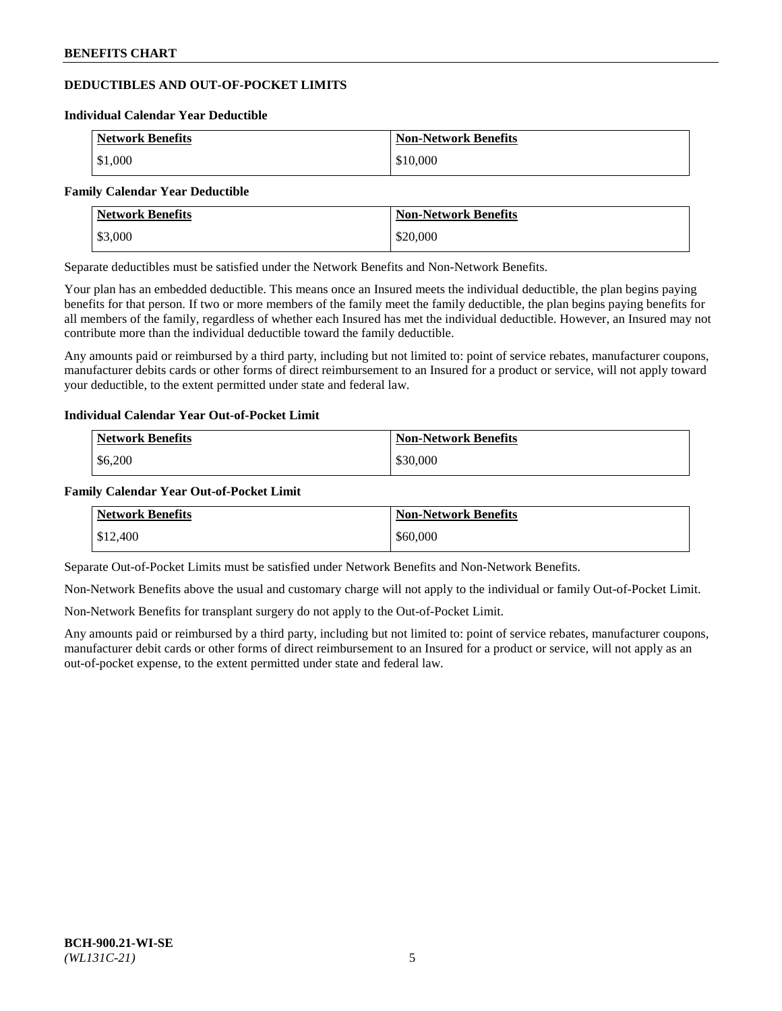## **DEDUCTIBLES AND OUT-OF-POCKET LIMITS**

#### **Individual Calendar Year Deductible**

| <b>Network Benefits</b> | <b>Non-Network Benefits</b> |
|-------------------------|-----------------------------|
| \$1,000                 | \$10,000                    |

#### **Family Calendar Year Deductible**

| <b>Network Benefits</b> | <b>Non-Network Benefits</b> |
|-------------------------|-----------------------------|
| \$3,000                 | \$20,000                    |

Separate deductibles must be satisfied under the Network Benefits and Non-Network Benefits.

Your plan has an embedded deductible. This means once an Insured meets the individual deductible, the plan begins paying benefits for that person. If two or more members of the family meet the family deductible, the plan begins paying benefits for all members of the family, regardless of whether each Insured has met the individual deductible. However, an Insured may not contribute more than the individual deductible toward the family deductible.

Any amounts paid or reimbursed by a third party, including but not limited to: point of service rebates, manufacturer coupons, manufacturer debits cards or other forms of direct reimbursement to an Insured for a product or service, will not apply toward your deductible, to the extent permitted under state and federal law.

## **Individual Calendar Year Out-of-Pocket Limit**

| <b>Network Benefits</b> | <b>Non-Network Benefits</b> |
|-------------------------|-----------------------------|
| $\frac{$6,200}{}$       | \$30,000                    |

### **Family Calendar Year Out-of-Pocket Limit**

| <b>Network Benefits</b> | <b>Non-Network Benefits</b> |
|-------------------------|-----------------------------|
| \$12,400                | \$60,000                    |

Separate Out-of-Pocket Limits must be satisfied under Network Benefits and Non-Network Benefits.

Non-Network Benefits above the usual and customary charge will not apply to the individual or family Out-of-Pocket Limit.

Non-Network Benefits for transplant surgery do not apply to the Out-of-Pocket Limit.

Any amounts paid or reimbursed by a third party, including but not limited to: point of service rebates, manufacturer coupons, manufacturer debit cards or other forms of direct reimbursement to an Insured for a product or service, will not apply as an out-of-pocket expense, to the extent permitted under state and federal law.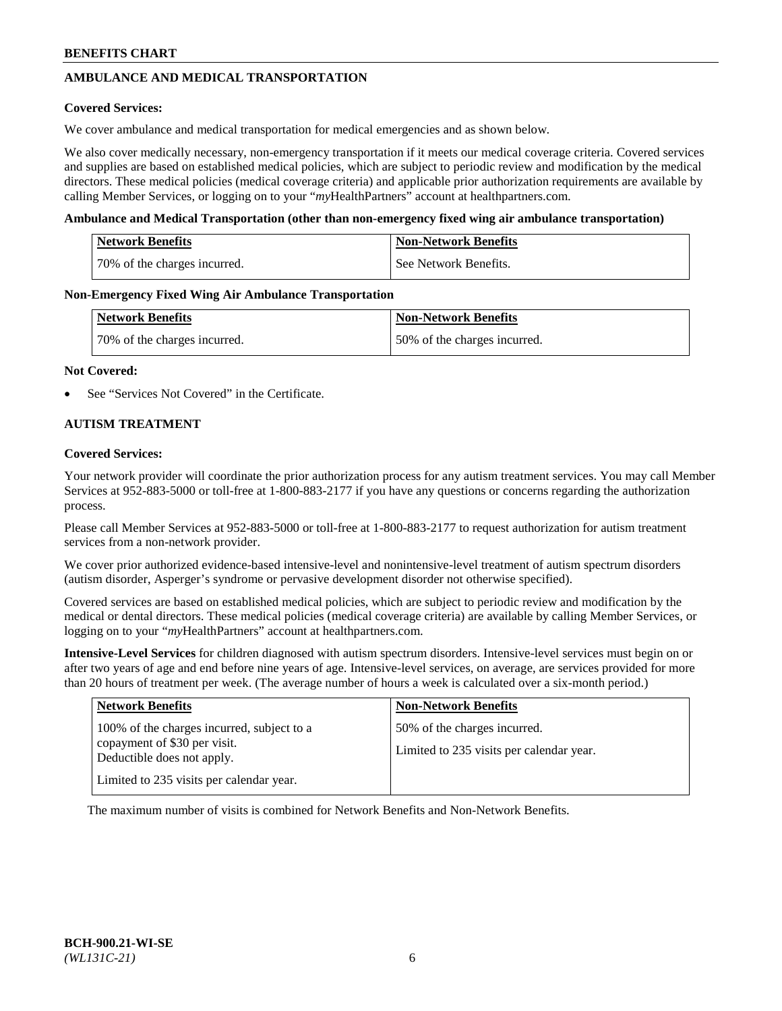# **AMBULANCE AND MEDICAL TRANSPORTATION**

### **Covered Services:**

We cover ambulance and medical transportation for medical emergencies and as shown below.

We also cover medically necessary, non-emergency transportation if it meets our medical coverage criteria. Covered services and supplies are based on established medical policies, which are subject to periodic review and modification by the medical directors. These medical policies (medical coverage criteria) and applicable prior authorization requirements are available by calling Member Services, or logging on to your "*my*HealthPartners" account a[t healthpartners.com.](https://www.healthpartners.com/hp/index.html)

### **Ambulance and Medical Transportation (other than non-emergency fixed wing air ambulance transportation)**

| <b>Network Benefits</b>      | <b>Non-Network Benefits</b> |
|------------------------------|-----------------------------|
| 70% of the charges incurred. | See Network Benefits.       |

### **Non-Emergency Fixed Wing Air Ambulance Transportation**

| <b>Network Benefits</b>      | <b>Non-Network Benefits</b>  |
|------------------------------|------------------------------|
| 70% of the charges incurred. | 50% of the charges incurred. |

### **Not Covered:**

See "Services Not Covered" in the Certificate.

## **AUTISM TREATMENT**

### **Covered Services:**

Your network provider will coordinate the prior authorization process for any autism treatment services. You may call Member Services at 952-883-5000 or toll-free at 1-800-883-2177 if you have any questions or concerns regarding the authorization process.

Please call Member Services at 952-883-5000 or toll-free at 1-800-883-2177 to request authorization for autism treatment services from a non-network provider.

We cover prior authorized evidence-based intensive-level and nonintensive-level treatment of autism spectrum disorders (autism disorder, Asperger's syndrome or pervasive development disorder not otherwise specified).

Covered services are based on established medical policies, which are subject to periodic review and modification by the medical or dental directors. These medical policies (medical coverage criteria) are available by calling Member Services, or logging on to your "*my*HealthPartners" account at [healthpartners.com.](https://www.healthpartners.com/hp/index.html)

**Intensive-Level Services** for children diagnosed with autism spectrum disorders. Intensive-level services must begin on or after two years of age and end before nine years of age. Intensive-level services, on average, are services provided for more than 20 hours of treatment per week. (The average number of hours a week is calculated over a six-month period.)

| <b>Network Benefits</b>                                                                                                                              | <b>Non-Network Benefits</b>                                              |
|------------------------------------------------------------------------------------------------------------------------------------------------------|--------------------------------------------------------------------------|
| 100% of the charges incurred, subject to a<br>copayment of \$30 per visit.<br>Deductible does not apply.<br>Limited to 235 visits per calendar year. | 50% of the charges incurred.<br>Limited to 235 visits per calendar year. |

The maximum number of visits is combined for Network Benefits and Non-Network Benefits.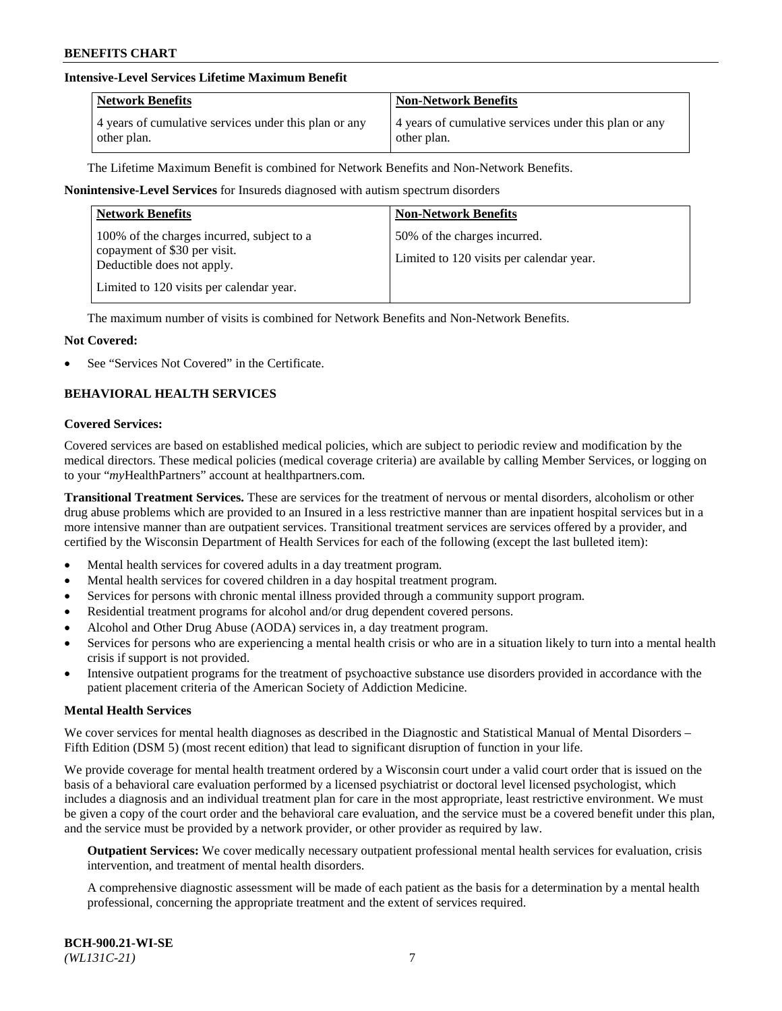## **Intensive-Level Services Lifetime Maximum Benefit**

| <b>Network Benefits</b>                               | <b>Non-Network Benefits</b>                           |
|-------------------------------------------------------|-------------------------------------------------------|
| 4 years of cumulative services under this plan or any | 4 years of cumulative services under this plan or any |
| other plan.                                           | other plan.                                           |

The Lifetime Maximum Benefit is combined for Network Benefits and Non-Network Benefits.

### **Nonintensive-Level Services** for Insureds diagnosed with autism spectrum disorders

| <b>Network Benefits</b>                                                                                                                              | <b>Non-Network Benefits</b>                                              |
|------------------------------------------------------------------------------------------------------------------------------------------------------|--------------------------------------------------------------------------|
| 100% of the charges incurred, subject to a<br>copayment of \$30 per visit.<br>Deductible does not apply.<br>Limited to 120 visits per calendar year. | 50% of the charges incurred.<br>Limited to 120 visits per calendar year. |

The maximum number of visits is combined for Network Benefits and Non-Network Benefits.

### **Not Covered:**

See "Services Not Covered" in the Certificate.

## **BEHAVIORAL HEALTH SERVICES**

#### **Covered Services:**

Covered services are based on established medical policies, which are subject to periodic review and modification by the medical directors. These medical policies (medical coverage criteria) are available by calling Member Services, or logging on to your "*my*HealthPartners" account at [healthpartners.com.](https://www.healthpartners.com/hp/index.html)

**Transitional Treatment Services.** These are services for the treatment of nervous or mental disorders, alcoholism or other drug abuse problems which are provided to an Insured in a less restrictive manner than are inpatient hospital services but in a more intensive manner than are outpatient services. Transitional treatment services are services offered by a provider, and certified by the Wisconsin Department of Health Services for each of the following (except the last bulleted item):

- Mental health services for covered adults in a day treatment program.
- Mental health services for covered children in a day hospital treatment program.
- Services for persons with chronic mental illness provided through a community support program.
- Residential treatment programs for alcohol and/or drug dependent covered persons.
- Alcohol and Other Drug Abuse (AODA) services in, a day treatment program.
- Services for persons who are experiencing a mental health crisis or who are in a situation likely to turn into a mental health crisis if support is not provided.
- Intensive outpatient programs for the treatment of psychoactive substance use disorders provided in accordance with the patient placement criteria of the American Society of Addiction Medicine.

#### **Mental Health Services**

We cover services for mental health diagnoses as described in the Diagnostic and Statistical Manual of Mental Disorders – Fifth Edition (DSM 5) (most recent edition) that lead to significant disruption of function in your life.

We provide coverage for mental health treatment ordered by a Wisconsin court under a valid court order that is issued on the basis of a behavioral care evaluation performed by a licensed psychiatrist or doctoral level licensed psychologist, which includes a diagnosis and an individual treatment plan for care in the most appropriate, least restrictive environment. We must be given a copy of the court order and the behavioral care evaluation, and the service must be a covered benefit under this plan, and the service must be provided by a network provider, or other provider as required by law.

**Outpatient Services:** We cover medically necessary outpatient professional mental health services for evaluation, crisis intervention, and treatment of mental health disorders.

A comprehensive diagnostic assessment will be made of each patient as the basis for a determination by a mental health professional, concerning the appropriate treatment and the extent of services required.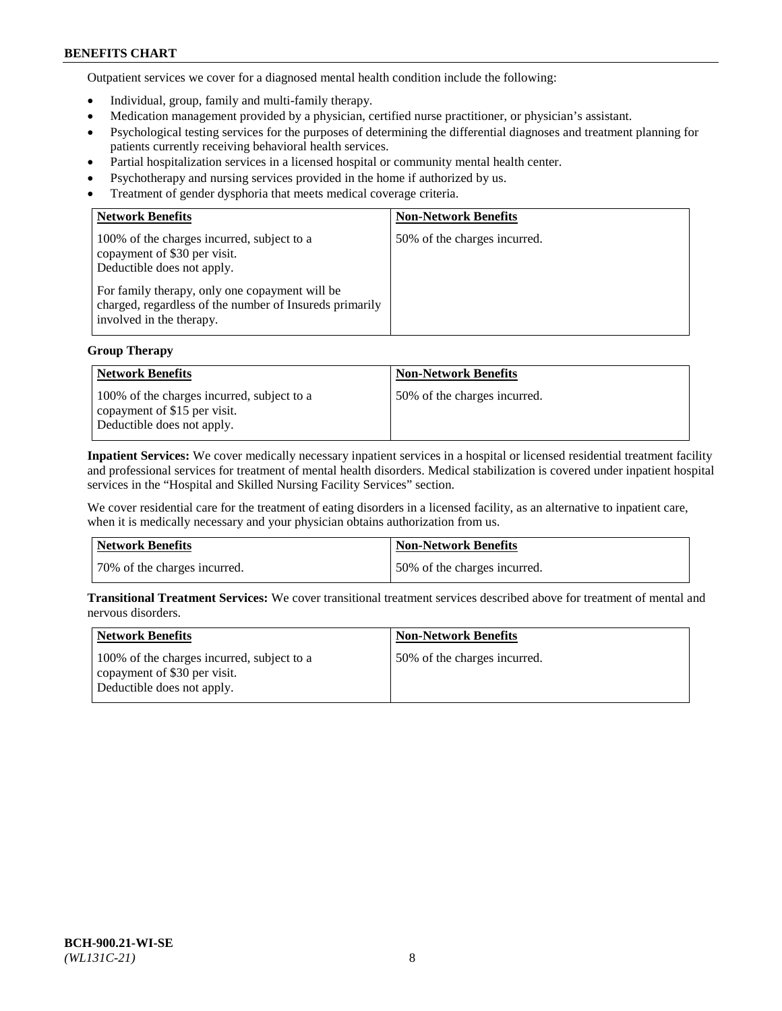Outpatient services we cover for a diagnosed mental health condition include the following:

- Individual, group, family and multi-family therapy.
- Medication management provided by a physician, certified nurse practitioner, or physician's assistant.
- Psychological testing services for the purposes of determining the differential diagnoses and treatment planning for patients currently receiving behavioral health services.
- Partial hospitalization services in a licensed hospital or community mental health center.
- Psychotherapy and nursing services provided in the home if authorized by us.
- Treatment of gender dysphoria that meets medical coverage criteria.

| <b>Network Benefits</b>                                                                                                                                                                                                                           | <b>Non-Network Benefits</b>  |
|---------------------------------------------------------------------------------------------------------------------------------------------------------------------------------------------------------------------------------------------------|------------------------------|
| 100% of the charges incurred, subject to a<br>copayment of \$30 per visit.<br>Deductible does not apply.<br>For family therapy, only one copayment will be<br>charged, regardless of the number of Insureds primarily<br>involved in the therapy. | 50% of the charges incurred. |

## **Group Therapy**

| Network Benefits                                                                                         | <b>Non-Network Benefits</b>  |
|----------------------------------------------------------------------------------------------------------|------------------------------|
| 100% of the charges incurred, subject to a<br>copayment of \$15 per visit.<br>Deductible does not apply. | 50% of the charges incurred. |

**Inpatient Services:** We cover medically necessary inpatient services in a hospital or licensed residential treatment facility and professional services for treatment of mental health disorders. Medical stabilization is covered under inpatient hospital services in the "Hospital and Skilled Nursing Facility Services" section.

We cover residential care for the treatment of eating disorders in a licensed facility, as an alternative to inpatient care, when it is medically necessary and your physician obtains authorization from us.

| Network Benefits             | Non-Network Benefits         |
|------------------------------|------------------------------|
| 70% of the charges incurred. | 50% of the charges incurred. |

**Transitional Treatment Services:** We cover transitional treatment services described above for treatment of mental and nervous disorders.

| Network Benefits                                                                                         | <b>Non-Network Benefits</b>  |
|----------------------------------------------------------------------------------------------------------|------------------------------|
| 100% of the charges incurred, subject to a<br>copayment of \$30 per visit.<br>Deductible does not apply. | 50% of the charges incurred. |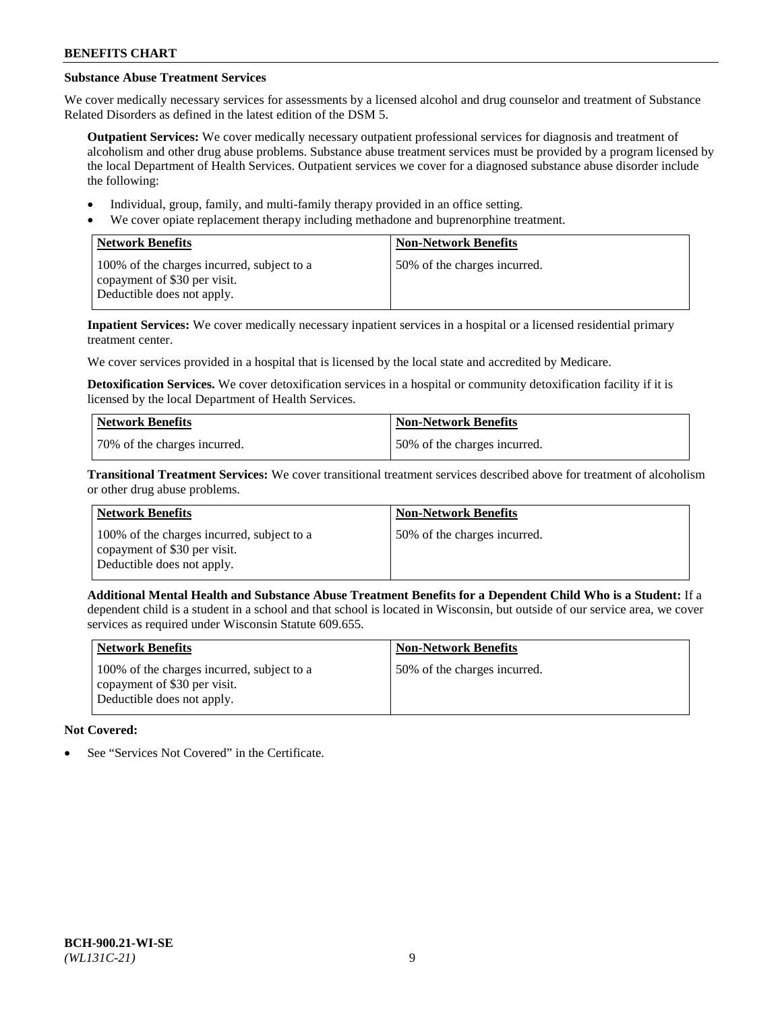# **Substance Abuse Treatment Services**

We cover medically necessary services for assessments by a licensed alcohol and drug counselor and treatment of Substance Related Disorders as defined in the latest edition of the DSM 5.

**Outpatient Services:** We cover medically necessary outpatient professional services for diagnosis and treatment of alcoholism and other drug abuse problems. Substance abuse treatment services must be provided by a program licensed by the local Department of Health Services. Outpatient services we cover for a diagnosed substance abuse disorder include the following:

- Individual, group, family, and multi-family therapy provided in an office setting.
- We cover opiate replacement therapy including methadone and buprenorphine treatment.

| <b>Network Benefits</b>                                                                                  | <b>Non-Network Benefits</b>  |
|----------------------------------------------------------------------------------------------------------|------------------------------|
| 100% of the charges incurred, subject to a<br>copayment of \$30 per visit.<br>Deductible does not apply. | 50% of the charges incurred. |

**Inpatient Services:** We cover medically necessary inpatient services in a hospital or a licensed residential primary treatment center.

We cover services provided in a hospital that is licensed by the local state and accredited by Medicare.

**Detoxification Services.** We cover detoxification services in a hospital or community detoxification facility if it is licensed by the local Department of Health Services.

| Network Benefits             | <b>Non-Network Benefits</b>  |
|------------------------------|------------------------------|
| 70% of the charges incurred. | 50% of the charges incurred. |

**Transitional Treatment Services:** We cover transitional treatment services described above for treatment of alcoholism or other drug abuse problems.

| <b>Network Benefits</b>                                                                                  | <b>Non-Network Benefits</b>  |
|----------------------------------------------------------------------------------------------------------|------------------------------|
| 100% of the charges incurred, subject to a<br>copayment of \$30 per visit.<br>Deductible does not apply. | 50% of the charges incurred. |

**Additional Mental Health and Substance Abuse Treatment Benefits for a Dependent Child Who is a Student:** If a dependent child is a student in a school and that school is located in Wisconsin, but outside of our service area, we cover services as required under Wisconsin Statute 609.655.

| Network Benefits                                                                                         | <b>Non-Network Benefits</b>  |
|----------------------------------------------------------------------------------------------------------|------------------------------|
| 100% of the charges incurred, subject to a<br>copayment of \$30 per visit.<br>Deductible does not apply. | 50% of the charges incurred. |

# **Not Covered:**

See "Services Not Covered" in the Certificate.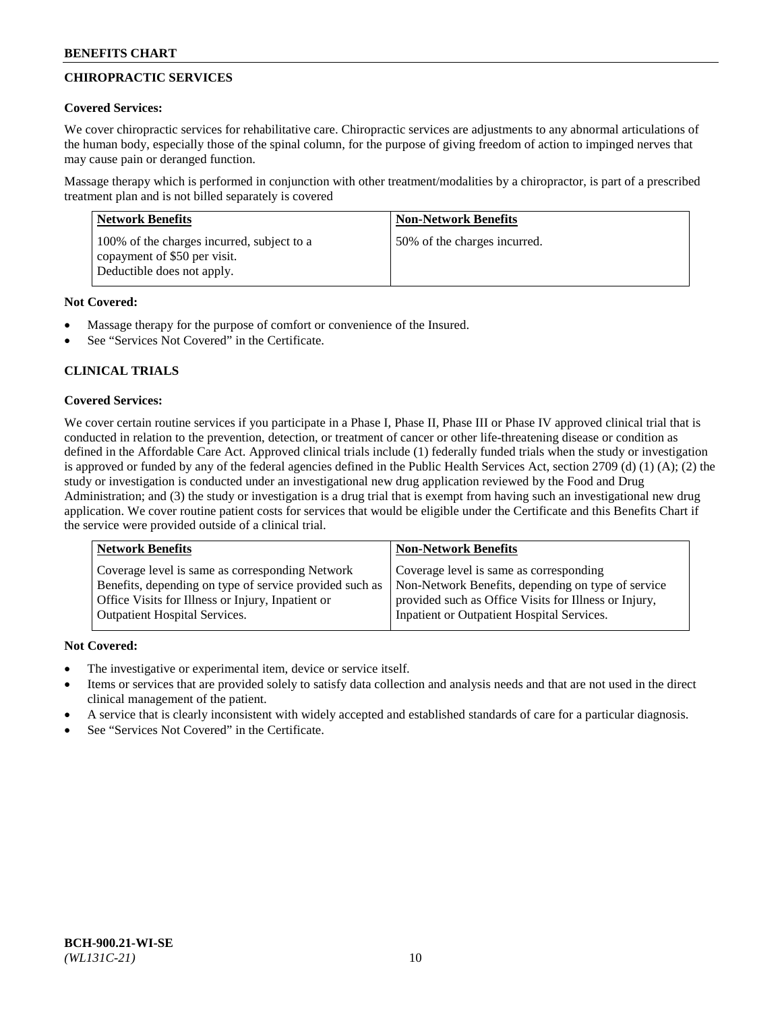# **CHIROPRACTIC SERVICES**

## **Covered Services:**

We cover chiropractic services for rehabilitative care. Chiropractic services are adjustments to any abnormal articulations of the human body, especially those of the spinal column, for the purpose of giving freedom of action to impinged nerves that may cause pain or deranged function.

Massage therapy which is performed in conjunction with other treatment/modalities by a chiropractor, is part of a prescribed treatment plan and is not billed separately is covered

| <b>Network Benefits</b>                                                                                  | <b>Non-Network Benefits</b>  |
|----------------------------------------------------------------------------------------------------------|------------------------------|
| 100% of the charges incurred, subject to a<br>copayment of \$50 per visit.<br>Deductible does not apply. | 50% of the charges incurred. |

## **Not Covered:**

- Massage therapy for the purpose of comfort or convenience of the Insured.
- See "Services Not Covered" in the Certificate.

# **CLINICAL TRIALS**

## **Covered Services:**

We cover certain routine services if you participate in a Phase I, Phase II, Phase III or Phase IV approved clinical trial that is conducted in relation to the prevention, detection, or treatment of cancer or other life-threatening disease or condition as defined in the Affordable Care Act. Approved clinical trials include (1) federally funded trials when the study or investigation is approved or funded by any of the federal agencies defined in the Public Health Services Act, section 2709 (d) (1) (A); (2) the study or investigation is conducted under an investigational new drug application reviewed by the Food and Drug Administration; and (3) the study or investigation is a drug trial that is exempt from having such an investigational new drug application. We cover routine patient costs for services that would be eligible under the Certificate and this Benefits Chart if the service were provided outside of a clinical trial.

| <b>Network Benefits</b>                                 | <b>Non-Network Benefits</b>                           |
|---------------------------------------------------------|-------------------------------------------------------|
| Coverage level is same as corresponding Network         | Coverage level is same as corresponding               |
| Benefits, depending on type of service provided such as | Non-Network Benefits, depending on type of service    |
| Office Visits for Illness or Injury, Inpatient or       | provided such as Office Visits for Illness or Injury, |
| Outpatient Hospital Services.                           | Inpatient or Outpatient Hospital Services.            |

## **Not Covered:**

- The investigative or experimental item, device or service itself.
- Items or services that are provided solely to satisfy data collection and analysis needs and that are not used in the direct clinical management of the patient.
- A service that is clearly inconsistent with widely accepted and established standards of care for a particular diagnosis.
- See "Services Not Covered" in the Certificate.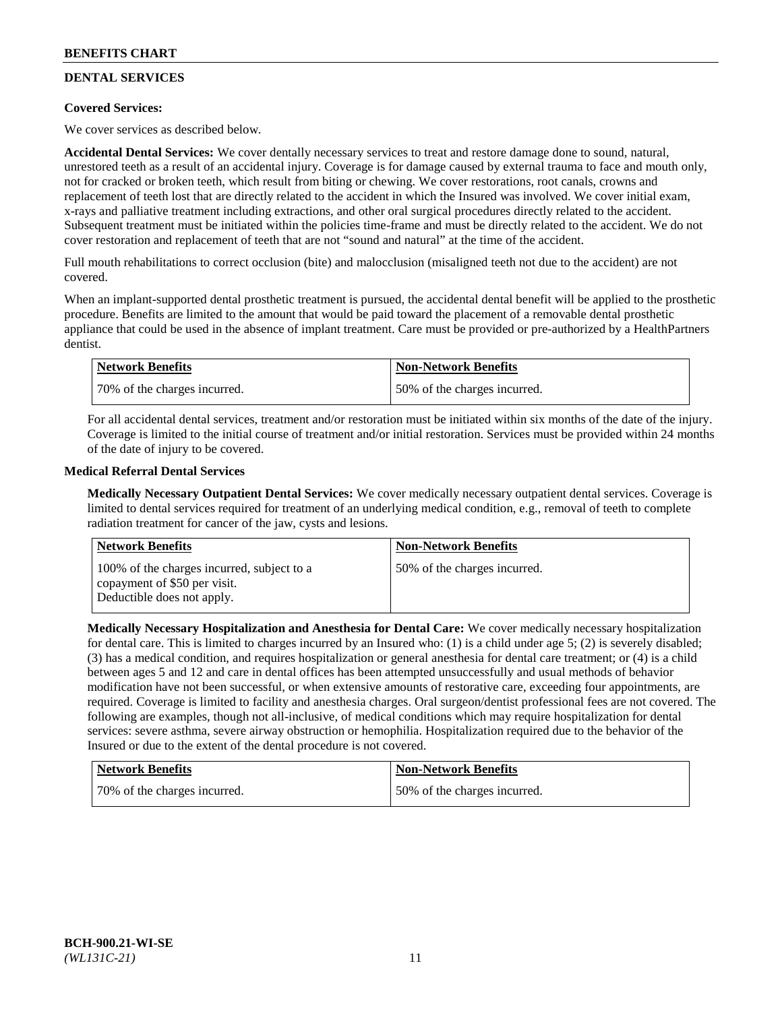# **DENTAL SERVICES**

## **Covered Services:**

We cover services as described below.

**Accidental Dental Services:** We cover dentally necessary services to treat and restore damage done to sound, natural, unrestored teeth as a result of an accidental injury. Coverage is for damage caused by external trauma to face and mouth only, not for cracked or broken teeth, which result from biting or chewing. We cover restorations, root canals, crowns and replacement of teeth lost that are directly related to the accident in which the Insured was involved. We cover initial exam, x-rays and palliative treatment including extractions, and other oral surgical procedures directly related to the accident. Subsequent treatment must be initiated within the policies time-frame and must be directly related to the accident. We do not cover restoration and replacement of teeth that are not "sound and natural" at the time of the accident.

Full mouth rehabilitations to correct occlusion (bite) and malocclusion (misaligned teeth not due to the accident) are not covered.

When an implant-supported dental prosthetic treatment is pursued, the accidental dental benefit will be applied to the prosthetic procedure. Benefits are limited to the amount that would be paid toward the placement of a removable dental prosthetic appliance that could be used in the absence of implant treatment. Care must be provided or pre-authorized by a HealthPartners dentist.

| <b>Network Benefits</b>      | <b>Non-Network Benefits</b>  |
|------------------------------|------------------------------|
| 70% of the charges incurred. | 50% of the charges incurred. |

For all accidental dental services, treatment and/or restoration must be initiated within six months of the date of the injury. Coverage is limited to the initial course of treatment and/or initial restoration. Services must be provided within 24 months of the date of injury to be covered.

## **Medical Referral Dental Services**

**Medically Necessary Outpatient Dental Services:** We cover medically necessary outpatient dental services. Coverage is limited to dental services required for treatment of an underlying medical condition, e.g., removal of teeth to complete radiation treatment for cancer of the jaw, cysts and lesions.

| Network Benefits                                                                                         | <b>Non-Network Benefits</b>  |
|----------------------------------------------------------------------------------------------------------|------------------------------|
| 100% of the charges incurred, subject to a<br>copayment of \$50 per visit.<br>Deductible does not apply. | 50% of the charges incurred. |

**Medically Necessary Hospitalization and Anesthesia for Dental Care:** We cover medically necessary hospitalization for dental care. This is limited to charges incurred by an Insured who: (1) is a child under age 5; (2) is severely disabled; (3) has a medical condition, and requires hospitalization or general anesthesia for dental care treatment; or (4) is a child between ages 5 and 12 and care in dental offices has been attempted unsuccessfully and usual methods of behavior modification have not been successful, or when extensive amounts of restorative care, exceeding four appointments, are required. Coverage is limited to facility and anesthesia charges. Oral surgeon/dentist professional fees are not covered. The following are examples, though not all-inclusive, of medical conditions which may require hospitalization for dental services: severe asthma, severe airway obstruction or hemophilia. Hospitalization required due to the behavior of the Insured or due to the extent of the dental procedure is not covered.

| Network Benefits             | <b>Non-Network Benefits</b>  |
|------------------------------|------------------------------|
| 70% of the charges incurred. | 50% of the charges incurred. |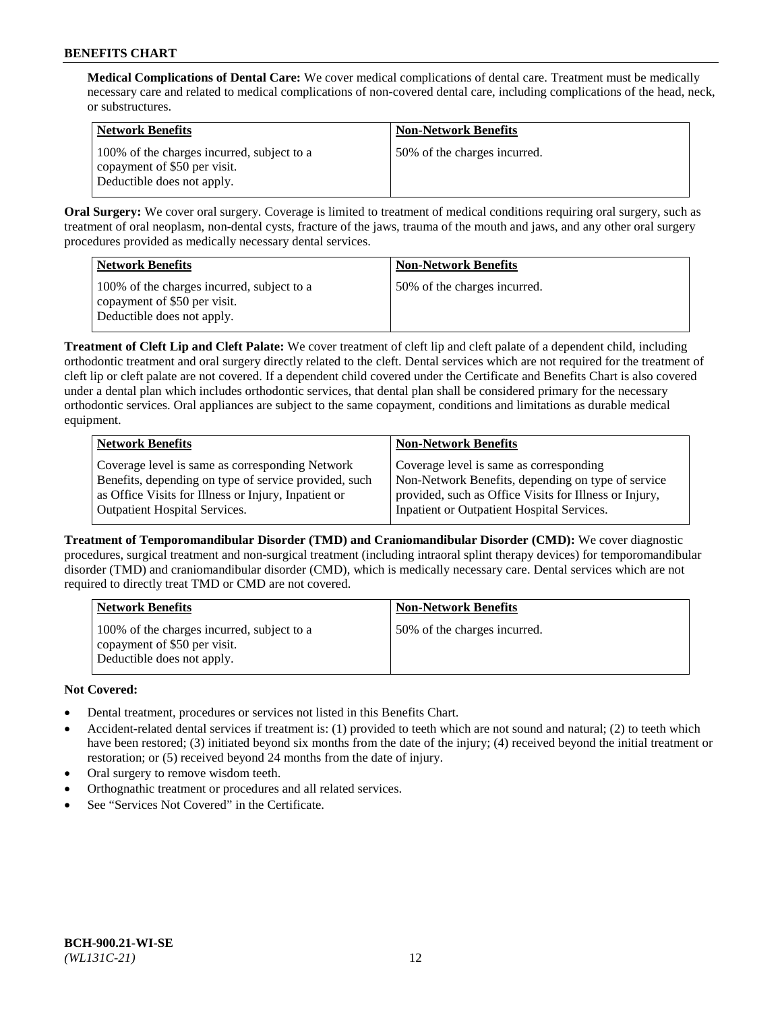**Medical Complications of Dental Care:** We cover medical complications of dental care. Treatment must be medically necessary care and related to medical complications of non-covered dental care, including complications of the head, neck, or substructures.

| <b>Network Benefits</b>                                                                                  | <b>Non-Network Benefits</b>  |
|----------------------------------------------------------------------------------------------------------|------------------------------|
| 100% of the charges incurred, subject to a<br>copayment of \$50 per visit.<br>Deductible does not apply. | 50% of the charges incurred. |

**Oral Surgery:** We cover oral surgery. Coverage is limited to treatment of medical conditions requiring oral surgery, such as treatment of oral neoplasm, non-dental cysts, fracture of the jaws, trauma of the mouth and jaws, and any other oral surgery procedures provided as medically necessary dental services.

| <b>Network Benefits</b>                                                                                  | <b>Non-Network Benefits</b>  |
|----------------------------------------------------------------------------------------------------------|------------------------------|
| 100% of the charges incurred, subject to a<br>copayment of \$50 per visit.<br>Deductible does not apply. | 50% of the charges incurred. |

**Treatment of Cleft Lip and Cleft Palate:** We cover treatment of cleft lip and cleft palate of a dependent child, including orthodontic treatment and oral surgery directly related to the cleft. Dental services which are not required for the treatment of cleft lip or cleft palate are not covered. If a dependent child covered under the Certificate and Benefits Chart is also covered under a dental plan which includes orthodontic services, that dental plan shall be considered primary for the necessary orthodontic services. Oral appliances are subject to the same copayment, conditions and limitations as durable medical equipment.

| <b>Network Benefits</b>                               | <b>Non-Network Benefits</b>                            |
|-------------------------------------------------------|--------------------------------------------------------|
| Coverage level is same as corresponding Network       | Coverage level is same as corresponding                |
| Benefits, depending on type of service provided, such | Non-Network Benefits, depending on type of service     |
| as Office Visits for Illness or Injury, Inpatient or  | provided, such as Office Visits for Illness or Injury, |
| Outpatient Hospital Services.                         | Inpatient or Outpatient Hospital Services.             |

**Treatment of Temporomandibular Disorder (TMD) and Craniomandibular Disorder (CMD):** We cover diagnostic procedures, surgical treatment and non-surgical treatment (including intraoral splint therapy devices) for temporomandibular disorder (TMD) and craniomandibular disorder (CMD), which is medically necessary care. Dental services which are not required to directly treat TMD or CMD are not covered.

| <b>Network Benefits</b>                                                                                  | <b>Non-Network Benefits</b>  |
|----------------------------------------------------------------------------------------------------------|------------------------------|
| 100% of the charges incurred, subject to a<br>copayment of \$50 per visit.<br>Deductible does not apply. | 50% of the charges incurred. |

## **Not Covered:**

- Dental treatment, procedures or services not listed in this Benefits Chart.
- Accident-related dental services if treatment is: (1) provided to teeth which are not sound and natural; (2) to teeth which have been restored; (3) initiated beyond six months from the date of the injury; (4) received beyond the initial treatment or restoration; or (5) received beyond 24 months from the date of injury.
- Oral surgery to remove wisdom teeth.
- Orthognathic treatment or procedures and all related services.
- See "Services Not Covered" in the Certificate.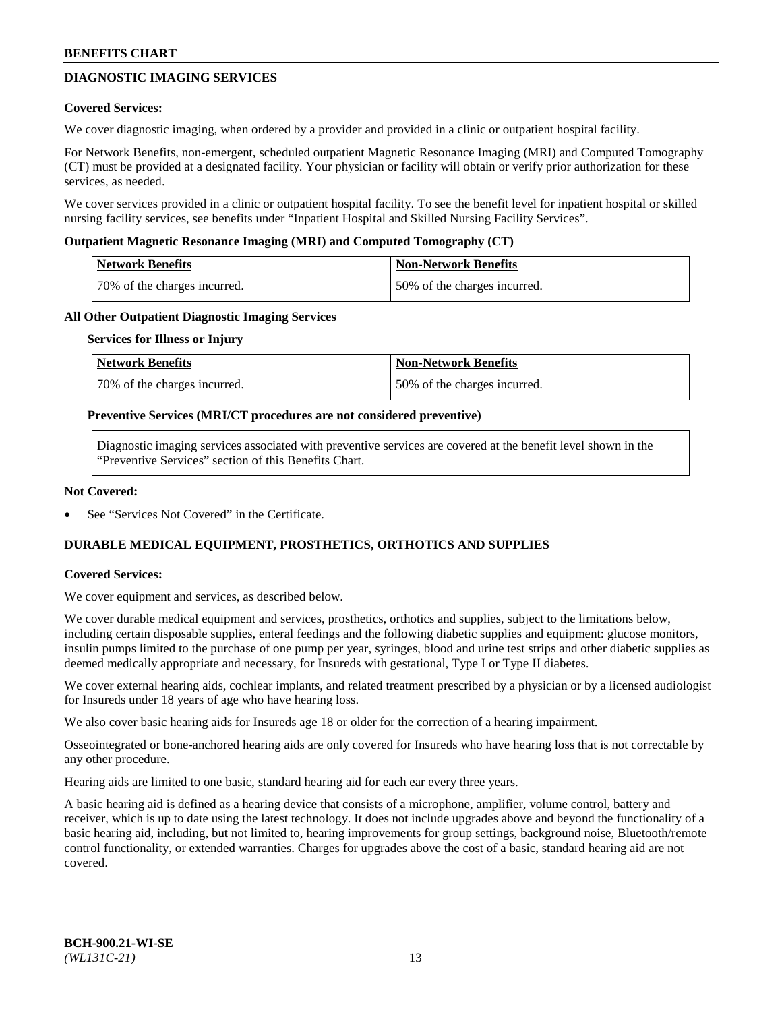## **DIAGNOSTIC IMAGING SERVICES**

### **Covered Services:**

We cover diagnostic imaging, when ordered by a provider and provided in a clinic or outpatient hospital facility.

For Network Benefits, non-emergent, scheduled outpatient Magnetic Resonance Imaging (MRI) and Computed Tomography (CT) must be provided at a designated facility. Your physician or facility will obtain or verify prior authorization for these services, as needed.

We cover services provided in a clinic or outpatient hospital facility. To see the benefit level for inpatient hospital or skilled nursing facility services, see benefits under "Inpatient Hospital and Skilled Nursing Facility Services".

### **Outpatient Magnetic Resonance Imaging (MRI) and Computed Tomography (CT)**

| <b>Network Benefits</b>      | <b>Non-Network Benefits</b>  |
|------------------------------|------------------------------|
| 70% of the charges incurred. | 50% of the charges incurred. |

### **All Other Outpatient Diagnostic Imaging Services**

#### **Services for Illness or Injury**

| Network Benefits             | <b>Non-Network Benefits</b>  |
|------------------------------|------------------------------|
| 70% of the charges incurred. | 50% of the charges incurred. |

### **Preventive Services (MRI/CT procedures are not considered preventive)**

Diagnostic imaging services associated with preventive services are covered at the benefit level shown in the "Preventive Services" section of this Benefits Chart.

### **Not Covered:**

See "Services Not Covered" in the Certificate.

## **DURABLE MEDICAL EQUIPMENT, PROSTHETICS, ORTHOTICS AND SUPPLIES**

#### **Covered Services:**

We cover equipment and services, as described below.

We cover durable medical equipment and services, prosthetics, orthotics and supplies, subject to the limitations below, including certain disposable supplies, enteral feedings and the following diabetic supplies and equipment: glucose monitors, insulin pumps limited to the purchase of one pump per year, syringes, blood and urine test strips and other diabetic supplies as deemed medically appropriate and necessary, for Insureds with gestational, Type I or Type II diabetes.

We cover external hearing aids, cochlear implants, and related treatment prescribed by a physician or by a licensed audiologist for Insureds under 18 years of age who have hearing loss.

We also cover basic hearing aids for Insureds age 18 or older for the correction of a hearing impairment.

Osseointegrated or bone-anchored hearing aids are only covered for Insureds who have hearing loss that is not correctable by any other procedure.

Hearing aids are limited to one basic, standard hearing aid for each ear every three years.

A basic hearing aid is defined as a hearing device that consists of a microphone, amplifier, volume control, battery and receiver, which is up to date using the latest technology. It does not include upgrades above and beyond the functionality of a basic hearing aid, including, but not limited to, hearing improvements for group settings, background noise, Bluetooth/remote control functionality, or extended warranties. Charges for upgrades above the cost of a basic, standard hearing aid are not covered.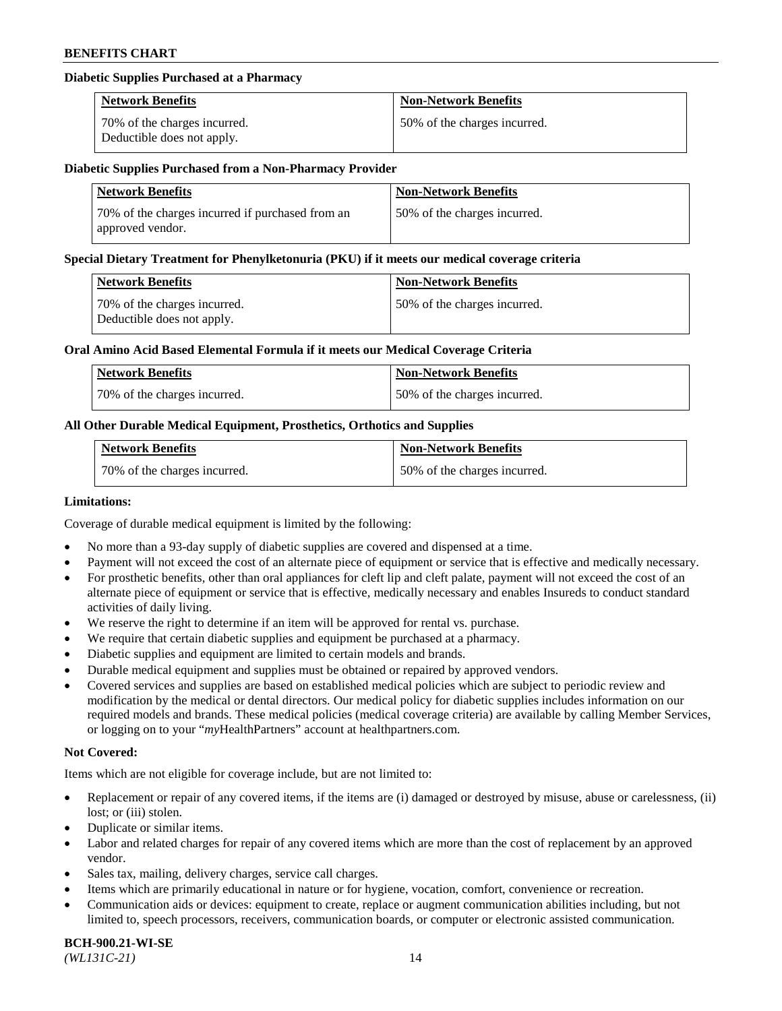### **Diabetic Supplies Purchased at a Pharmacy**

| <b>Network Benefits</b>                                    | <b>Non-Network Benefits</b>  |
|------------------------------------------------------------|------------------------------|
| 70% of the charges incurred.<br>Deductible does not apply. | 50% of the charges incurred. |

#### **Diabetic Supplies Purchased from a Non-Pharmacy Provider**

| <b>Network Benefits</b>                                              | <b>Non-Network Benefits</b>  |
|----------------------------------------------------------------------|------------------------------|
| 70% of the charges incurred if purchased from an<br>approved vendor. | 50% of the charges incurred. |

#### **Special Dietary Treatment for Phenylketonuria (PKU) if it meets our medical coverage criteria**

| Network Benefits                                           | <b>Non-Network Benefits</b>  |
|------------------------------------------------------------|------------------------------|
| 70% of the charges incurred.<br>Deductible does not apply. | 50% of the charges incurred. |

### **Oral Amino Acid Based Elemental Formula if it meets our Medical Coverage Criteria**

| Network Benefits             | <b>Non-Network Benefits</b>  |
|------------------------------|------------------------------|
| 70% of the charges incurred. | 50% of the charges incurred. |

## **All Other Durable Medical Equipment, Prosthetics, Orthotics and Supplies**

| <b>Network Benefits</b>      | <b>Non-Network Benefits</b>  |
|------------------------------|------------------------------|
| 70% of the charges incurred. | 50% of the charges incurred. |

#### **Limitations:**

Coverage of durable medical equipment is limited by the following:

- No more than a 93-day supply of diabetic supplies are covered and dispensed at a time.
- Payment will not exceed the cost of an alternate piece of equipment or service that is effective and medically necessary.
- For prosthetic benefits, other than oral appliances for cleft lip and cleft palate, payment will not exceed the cost of an alternate piece of equipment or service that is effective, medically necessary and enables Insureds to conduct standard
- activities of daily living. We reserve the right to determine if an item will be approved for rental vs. purchase.
- We require that certain diabetic supplies and equipment be purchased at a pharmacy.
- Diabetic supplies and equipment are limited to certain models and brands.
- Durable medical equipment and supplies must be obtained or repaired by approved vendors.
- Covered services and supplies are based on established medical policies which are subject to periodic review and modification by the medical or dental directors. Our medical policy for diabetic supplies includes information on our required models and brands. These medical policies (medical coverage criteria) are available by calling Member Services, or logging on to your "*my*HealthPartners" account a[t healthpartners.com.](https://www.healthpartners.com/hp/index.html)

## **Not Covered:**

Items which are not eligible for coverage include, but are not limited to:

- Replacement or repair of any covered items, if the items are (i) damaged or destroyed by misuse, abuse or carelessness, (ii) lost; or (iii) stolen.
- Duplicate or similar items.
- Labor and related charges for repair of any covered items which are more than the cost of replacement by an approved vendor.
- Sales tax, mailing, delivery charges, service call charges.
- Items which are primarily educational in nature or for hygiene, vocation, comfort, convenience or recreation.
- Communication aids or devices: equipment to create, replace or augment communication abilities including, but not limited to, speech processors, receivers, communication boards, or computer or electronic assisted communication.

#### **BCH-900.21-WI-SE**  *(WL131C-21)* 14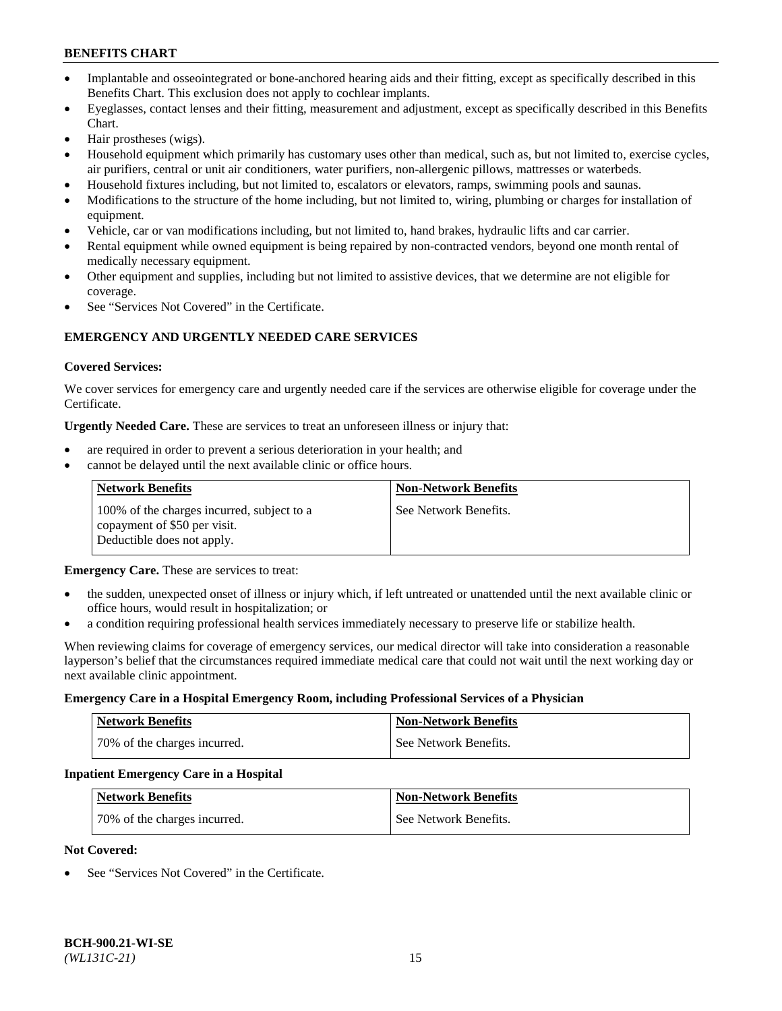- Implantable and osseointegrated or bone-anchored hearing aids and their fitting, except as specifically described in this Benefits Chart. This exclusion does not apply to cochlear implants.
- Eyeglasses, contact lenses and their fitting, measurement and adjustment, except as specifically described in this Benefits Chart.
- Hair prostheses (wigs).
- Household equipment which primarily has customary uses other than medical, such as, but not limited to, exercise cycles, air purifiers, central or unit air conditioners, water purifiers, non-allergenic pillows, mattresses or waterbeds.
- Household fixtures including, but not limited to, escalators or elevators, ramps, swimming pools and saunas.
- Modifications to the structure of the home including, but not limited to, wiring, plumbing or charges for installation of equipment.
- Vehicle, car or van modifications including, but not limited to, hand brakes, hydraulic lifts and car carrier.
- Rental equipment while owned equipment is being repaired by non-contracted vendors, beyond one month rental of medically necessary equipment.
- Other equipment and supplies, including but not limited to assistive devices, that we determine are not eligible for coverage.
- See "Services Not Covered" in the Certificate.

## **EMERGENCY AND URGENTLY NEEDED CARE SERVICES**

### **Covered Services:**

We cover services for emergency care and urgently needed care if the services are otherwise eligible for coverage under the Certificate.

**Urgently Needed Care.** These are services to treat an unforeseen illness or injury that:

- are required in order to prevent a serious deterioration in your health; and
- cannot be delayed until the next available clinic or office hours.

| <b>Network Benefits</b>                                                                                  | <b>Non-Network Benefits</b> |
|----------------------------------------------------------------------------------------------------------|-----------------------------|
| 100% of the charges incurred, subject to a<br>copayment of \$50 per visit.<br>Deductible does not apply. | See Network Benefits.       |

**Emergency Care.** These are services to treat:

- the sudden, unexpected onset of illness or injury which, if left untreated or unattended until the next available clinic or office hours, would result in hospitalization; or
- a condition requiring professional health services immediately necessary to preserve life or stabilize health.

When reviewing claims for coverage of emergency services, our medical director will take into consideration a reasonable layperson's belief that the circumstances required immediate medical care that could not wait until the next working day or next available clinic appointment.

#### **Emergency Care in a Hospital Emergency Room, including Professional Services of a Physician**

| <b>Network Benefits</b>      | <b>Non-Network Benefits</b> |
|------------------------------|-----------------------------|
| 70% of the charges incurred. | See Network Benefits.       |

#### **Inpatient Emergency Care in a Hospital**

| <b>Network Benefits</b>      | <b>Non-Network Benefits</b> |
|------------------------------|-----------------------------|
| 70% of the charges incurred. | See Network Benefits.       |

#### **Not Covered:**

See "Services Not Covered" in the Certificate.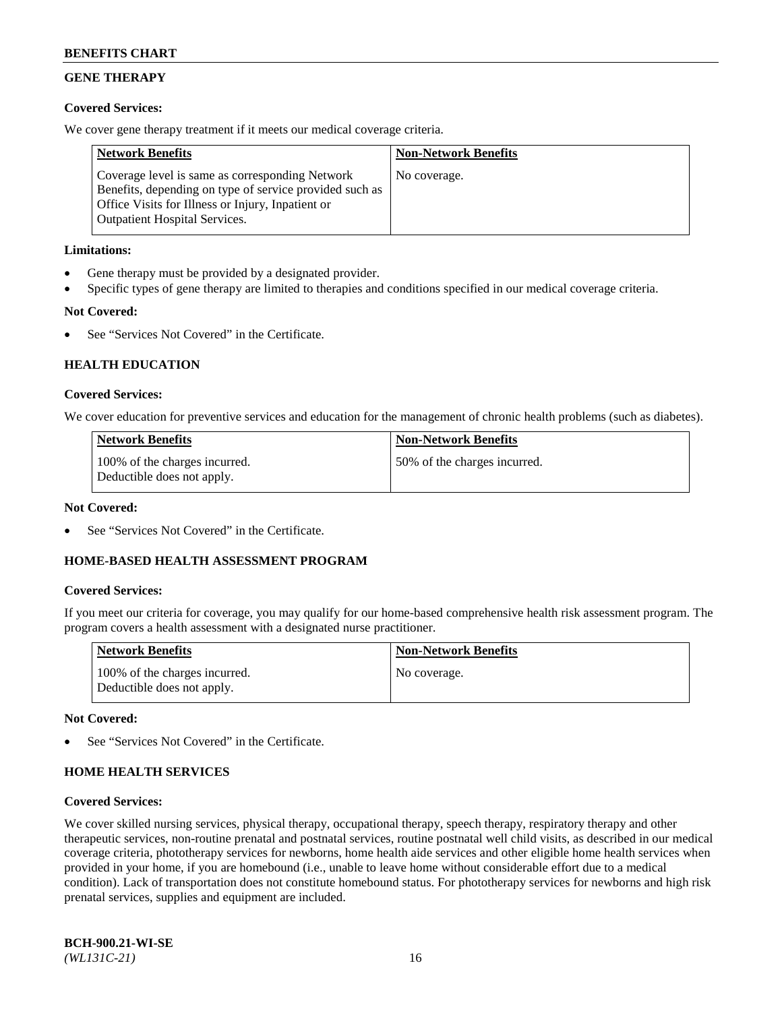## **GENE THERAPY**

## **Covered Services:**

We cover gene therapy treatment if it meets our medical coverage criteria.

| <b>Network Benefits</b>                                                                                                                                                                                 | <b>Non-Network Benefits</b> |
|---------------------------------------------------------------------------------------------------------------------------------------------------------------------------------------------------------|-----------------------------|
| Coverage level is same as corresponding Network<br>Benefits, depending on type of service provided such as<br>Office Visits for Illness or Injury, Inpatient or<br><b>Outpatient Hospital Services.</b> | No coverage.                |

## **Limitations:**

- Gene therapy must be provided by a designated provider.
- Specific types of gene therapy are limited to therapies and conditions specified in our medical coverage criteria.

## **Not Covered:**

See "Services Not Covered" in the Certificate.

## **HEALTH EDUCATION**

### **Covered Services:**

We cover education for preventive services and education for the management of chronic health problems (such as diabetes).

| <b>Network Benefits</b>                                     | <b>Non-Network Benefits</b>  |
|-------------------------------------------------------------|------------------------------|
| 100% of the charges incurred.<br>Deductible does not apply. | 50% of the charges incurred. |

#### **Not Covered:**

See "Services Not Covered" in the Certificate.

## **HOME-BASED HEALTH ASSESSMENT PROGRAM**

#### **Covered Services:**

If you meet our criteria for coverage, you may qualify for our home-based comprehensive health risk assessment program. The program covers a health assessment with a designated nurse practitioner.

| Network Benefits                                            | <b>Non-Network Benefits</b> |
|-------------------------------------------------------------|-----------------------------|
| 100% of the charges incurred.<br>Deductible does not apply. | No coverage.                |

#### **Not Covered:**

See "Services Not Covered" in the Certificate.

## **HOME HEALTH SERVICES**

#### **Covered Services:**

We cover skilled nursing services, physical therapy, occupational therapy, speech therapy, respiratory therapy and other therapeutic services, non-routine prenatal and postnatal services, routine postnatal well child visits, as described in our medical coverage criteria, phototherapy services for newborns, home health aide services and other eligible home health services when provided in your home, if you are homebound (i.e., unable to leave home without considerable effort due to a medical condition). Lack of transportation does not constitute homebound status. For phototherapy services for newborns and high risk prenatal services, supplies and equipment are included.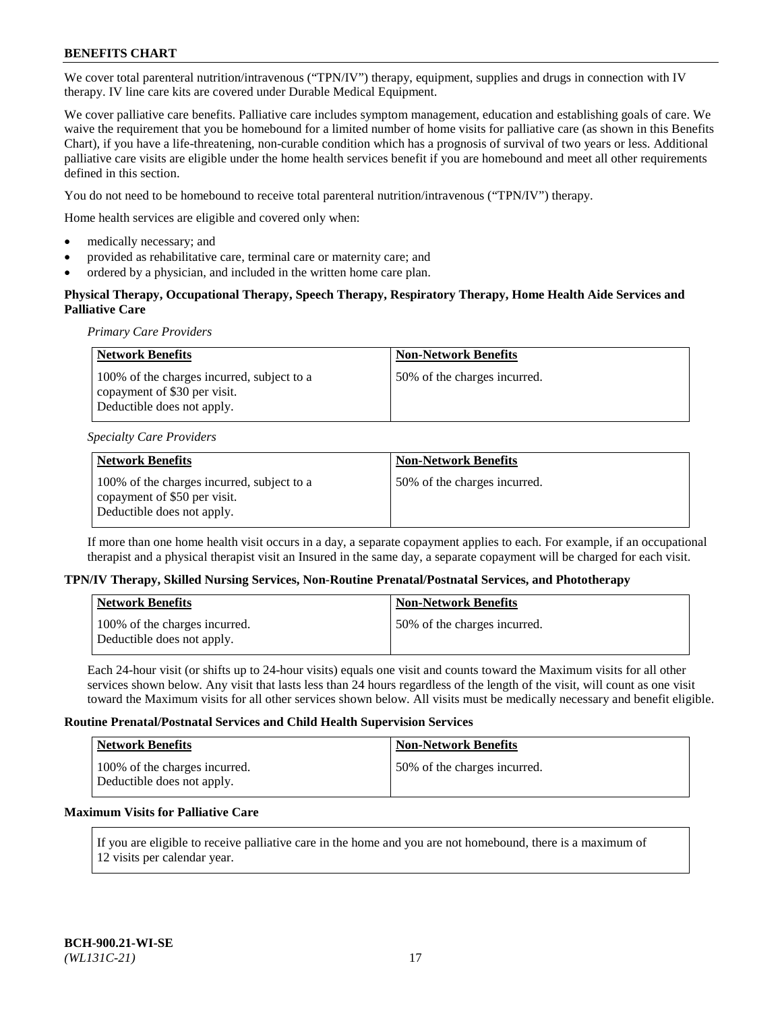We cover total parenteral nutrition/intravenous ("TPN/IV") therapy, equipment, supplies and drugs in connection with IV therapy. IV line care kits are covered under Durable Medical Equipment.

We cover palliative care benefits. Palliative care includes symptom management, education and establishing goals of care. We waive the requirement that you be homebound for a limited number of home visits for palliative care (as shown in this Benefits Chart), if you have a life-threatening, non-curable condition which has a prognosis of survival of two years or less. Additional palliative care visits are eligible under the home health services benefit if you are homebound and meet all other requirements defined in this section.

You do not need to be homebound to receive total parenteral nutrition/intravenous ("TPN/IV") therapy.

Home health services are eligible and covered only when:

- medically necessary; and
- provided as rehabilitative care, terminal care or maternity care; and
- ordered by a physician, and included in the written home care plan.

## **Physical Therapy, Occupational Therapy, Speech Therapy, Respiratory Therapy, Home Health Aide Services and Palliative Care**

*Primary Care Providers*

| <b>Network Benefits</b>                                                                                  | <b>Non-Network Benefits</b>  |
|----------------------------------------------------------------------------------------------------------|------------------------------|
| 100% of the charges incurred, subject to a<br>copayment of \$30 per visit.<br>Deductible does not apply. | 50% of the charges incurred. |

#### *Specialty Care Providers*

| Network Benefits                                                                                         | <b>Non-Network Benefits</b>  |
|----------------------------------------------------------------------------------------------------------|------------------------------|
| 100% of the charges incurred, subject to a<br>copayment of \$50 per visit.<br>Deductible does not apply. | 50% of the charges incurred. |

If more than one home health visit occurs in a day, a separate copayment applies to each. For example, if an occupational therapist and a physical therapist visit an Insured in the same day, a separate copayment will be charged for each visit.

#### **TPN/IV Therapy, Skilled Nursing Services, Non-Routine Prenatal/Postnatal Services, and Phototherapy**

| <b>Network Benefits</b>                                     | <b>Non-Network Benefits</b>   |
|-------------------------------------------------------------|-------------------------------|
| 100% of the charges incurred.<br>Deductible does not apply. | 50\% of the charges incurred. |

Each 24-hour visit (or shifts up to 24-hour visits) equals one visit and counts toward the Maximum visits for all other services shown below. Any visit that lasts less than 24 hours regardless of the length of the visit, will count as one visit toward the Maximum visits for all other services shown below. All visits must be medically necessary and benefit eligible.

### **Routine Prenatal/Postnatal Services and Child Health Supervision Services**

| Network Benefits                                            | <b>Non-Network Benefits</b>  |
|-------------------------------------------------------------|------------------------------|
| 100% of the charges incurred.<br>Deductible does not apply. | 50% of the charges incurred. |

## **Maximum Visits for Palliative Care**

If you are eligible to receive palliative care in the home and you are not homebound, there is a maximum of 12 visits per calendar year.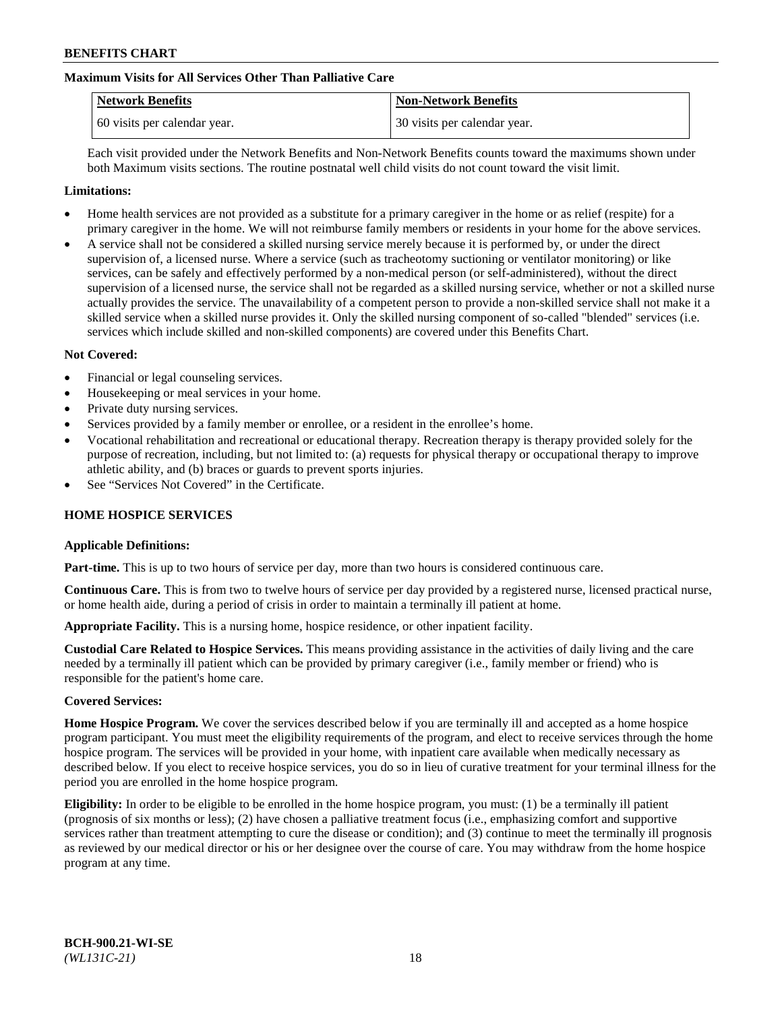## **Maximum Visits for All Services Other Than Palliative Care**

| <b>Network Benefits</b>      | <b>Non-Network Benefits</b>  |
|------------------------------|------------------------------|
| 60 visits per calendar year. | 30 visits per calendar year. |

Each visit provided under the Network Benefits and Non-Network Benefits counts toward the maximums shown under both Maximum visits sections. The routine postnatal well child visits do not count toward the visit limit.

#### **Limitations:**

- Home health services are not provided as a substitute for a primary caregiver in the home or as relief (respite) for a primary caregiver in the home. We will not reimburse family members or residents in your home for the above services.
- A service shall not be considered a skilled nursing service merely because it is performed by, or under the direct supervision of, a licensed nurse. Where a service (such as tracheotomy suctioning or ventilator monitoring) or like services, can be safely and effectively performed by a non-medical person (or self-administered), without the direct supervision of a licensed nurse, the service shall not be regarded as a skilled nursing service, whether or not a skilled nurse actually provides the service. The unavailability of a competent person to provide a non-skilled service shall not make it a skilled service when a skilled nurse provides it. Only the skilled nursing component of so-called "blended" services (i.e. services which include skilled and non-skilled components) are covered under this Benefits Chart.

#### **Not Covered:**

- Financial or legal counseling services.
- Housekeeping or meal services in your home.
- Private duty nursing services.
- Services provided by a family member or enrollee, or a resident in the enrollee's home.
- Vocational rehabilitation and recreational or educational therapy. Recreation therapy is therapy provided solely for the purpose of recreation, including, but not limited to: (a) requests for physical therapy or occupational therapy to improve athletic ability, and (b) braces or guards to prevent sports injuries.
- See "Services Not Covered" in the Certificate.

#### **HOME HOSPICE SERVICES**

#### **Applicable Definitions:**

**Part-time.** This is up to two hours of service per day, more than two hours is considered continuous care.

**Continuous Care.** This is from two to twelve hours of service per day provided by a registered nurse, licensed practical nurse, or home health aide, during a period of crisis in order to maintain a terminally ill patient at home.

**Appropriate Facility.** This is a nursing home, hospice residence, or other inpatient facility.

**Custodial Care Related to Hospice Services.** This means providing assistance in the activities of daily living and the care needed by a terminally ill patient which can be provided by primary caregiver (i.e., family member or friend) who is responsible for the patient's home care.

#### **Covered Services:**

**Home Hospice Program.** We cover the services described below if you are terminally ill and accepted as a home hospice program participant. You must meet the eligibility requirements of the program, and elect to receive services through the home hospice program. The services will be provided in your home, with inpatient care available when medically necessary as described below. If you elect to receive hospice services, you do so in lieu of curative treatment for your terminal illness for the period you are enrolled in the home hospice program.

**Eligibility:** In order to be eligible to be enrolled in the home hospice program, you must: (1) be a terminally ill patient (prognosis of six months or less); (2) have chosen a palliative treatment focus (i.e., emphasizing comfort and supportive services rather than treatment attempting to cure the disease or condition); and (3) continue to meet the terminally ill prognosis as reviewed by our medical director or his or her designee over the course of care. You may withdraw from the home hospice program at any time.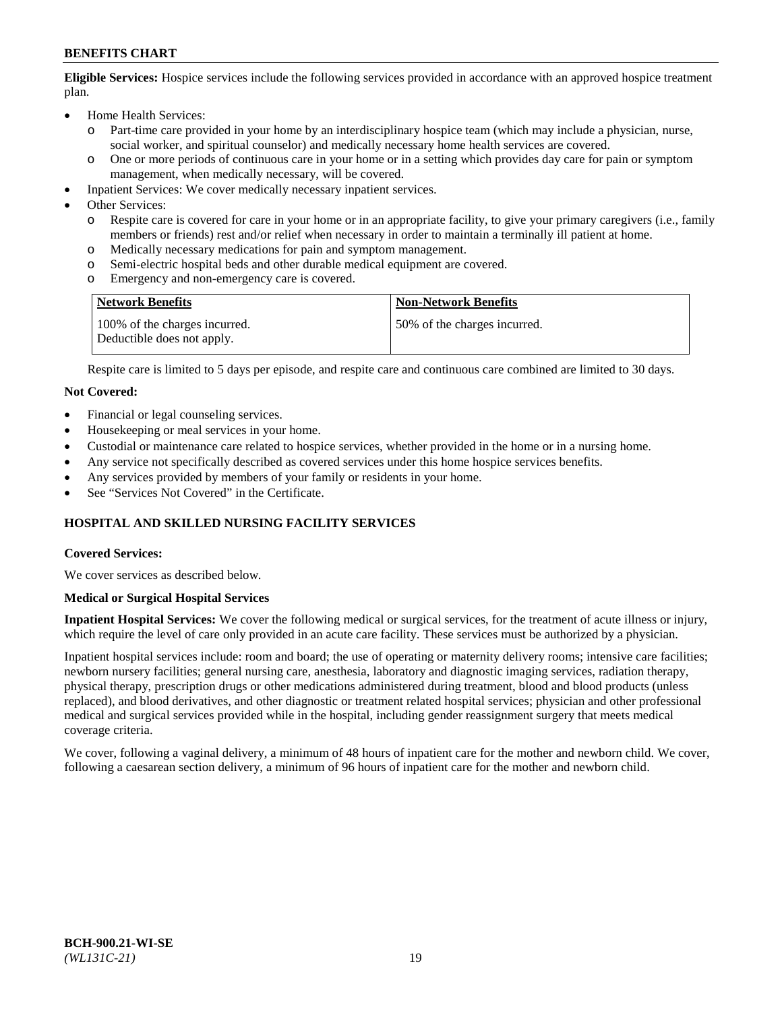**Eligible Services:** Hospice services include the following services provided in accordance with an approved hospice treatment plan.

- Home Health Services:
	- o Part-time care provided in your home by an interdisciplinary hospice team (which may include a physician, nurse, social worker, and spiritual counselor) and medically necessary home health services are covered.
	- o One or more periods of continuous care in your home or in a setting which provides day care for pain or symptom management, when medically necessary, will be covered.
- Inpatient Services: We cover medically necessary inpatient services.
- Other Services:
	- o Respite care is covered for care in your home or in an appropriate facility, to give your primary caregivers (i.e., family members or friends) rest and/or relief when necessary in order to maintain a terminally ill patient at home.
	- o Medically necessary medications for pain and symptom management.
	- Semi-electric hospital beds and other durable medical equipment are covered.
	- o Emergency and non-emergency care is covered.

| <b>Network Benefits</b>                                     | <b>Non-Network Benefits</b>  |
|-------------------------------------------------------------|------------------------------|
| 100% of the charges incurred.<br>Deductible does not apply. | 50% of the charges incurred. |

Respite care is limited to 5 days per episode, and respite care and continuous care combined are limited to 30 days.

### **Not Covered:**

- Financial or legal counseling services.
- Housekeeping or meal services in your home.
- Custodial or maintenance care related to hospice services, whether provided in the home or in a nursing home.
- Any service not specifically described as covered services under this home hospice services benefits.
- Any services provided by members of your family or residents in your home.
- See "Services Not Covered" in the Certificate.

## **HOSPITAL AND SKILLED NURSING FACILITY SERVICES**

#### **Covered Services:**

We cover services as described below.

#### **Medical or Surgical Hospital Services**

**Inpatient Hospital Services:** We cover the following medical or surgical services, for the treatment of acute illness or injury, which require the level of care only provided in an acute care facility. These services must be authorized by a physician.

Inpatient hospital services include: room and board; the use of operating or maternity delivery rooms; intensive care facilities; newborn nursery facilities; general nursing care, anesthesia, laboratory and diagnostic imaging services, radiation therapy, physical therapy, prescription drugs or other medications administered during treatment, blood and blood products (unless replaced), and blood derivatives, and other diagnostic or treatment related hospital services; physician and other professional medical and surgical services provided while in the hospital, including gender reassignment surgery that meets medical coverage criteria.

We cover, following a vaginal delivery, a minimum of 48 hours of inpatient care for the mother and newborn child. We cover, following a caesarean section delivery, a minimum of 96 hours of inpatient care for the mother and newborn child.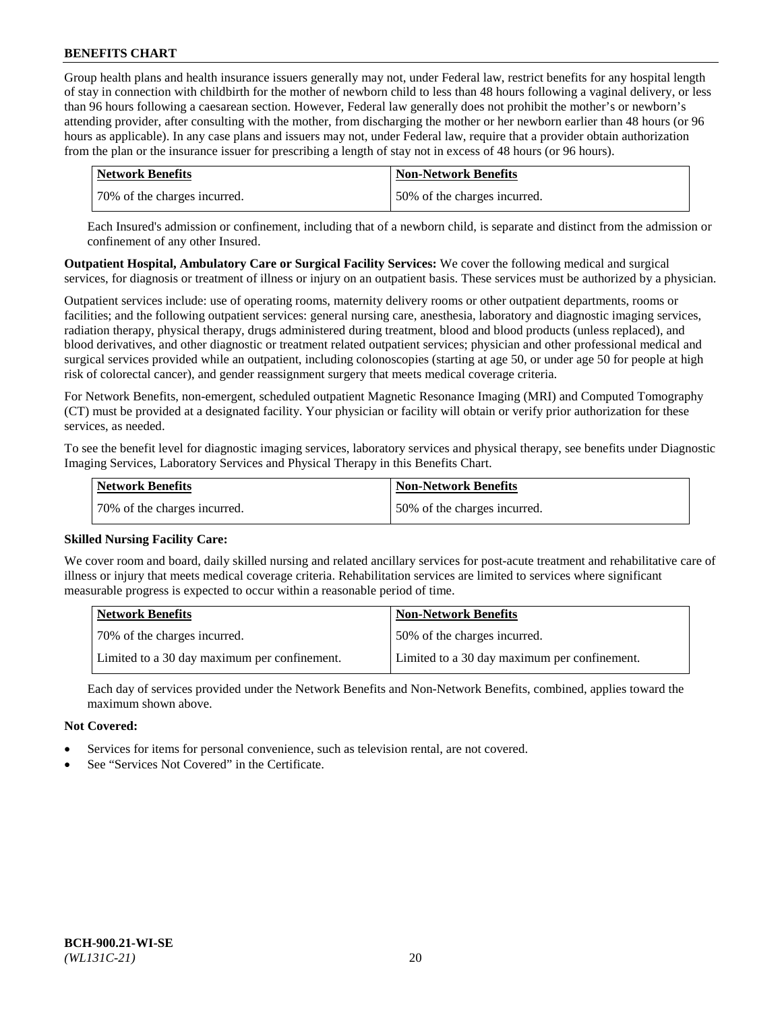Group health plans and health insurance issuers generally may not, under Federal law, restrict benefits for any hospital length of stay in connection with childbirth for the mother of newborn child to less than 48 hours following a vaginal delivery, or less than 96 hours following a caesarean section. However, Federal law generally does not prohibit the mother's or newborn's attending provider, after consulting with the mother, from discharging the mother or her newborn earlier than 48 hours (or 96 hours as applicable). In any case plans and issuers may not, under Federal law, require that a provider obtain authorization from the plan or the insurance issuer for prescribing a length of stay not in excess of 48 hours (or 96 hours).

| Network Benefits             | <b>Non-Network Benefits</b>  |
|------------------------------|------------------------------|
| 70% of the charges incurred. | 50% of the charges incurred. |

Each Insured's admission or confinement, including that of a newborn child, is separate and distinct from the admission or confinement of any other Insured.

**Outpatient Hospital, Ambulatory Care or Surgical Facility Services:** We cover the following medical and surgical services, for diagnosis or treatment of illness or injury on an outpatient basis. These services must be authorized by a physician.

Outpatient services include: use of operating rooms, maternity delivery rooms or other outpatient departments, rooms or facilities; and the following outpatient services: general nursing care, anesthesia, laboratory and diagnostic imaging services, radiation therapy, physical therapy, drugs administered during treatment, blood and blood products (unless replaced), and blood derivatives, and other diagnostic or treatment related outpatient services; physician and other professional medical and surgical services provided while an outpatient, including colonoscopies (starting at age 50, or under age 50 for people at high risk of colorectal cancer), and gender reassignment surgery that meets medical coverage criteria.

For Network Benefits, non-emergent, scheduled outpatient Magnetic Resonance Imaging (MRI) and Computed Tomography (CT) must be provided at a designated facility. Your physician or facility will obtain or verify prior authorization for these services, as needed.

To see the benefit level for diagnostic imaging services, laboratory services and physical therapy, see benefits under Diagnostic Imaging Services, Laboratory Services and Physical Therapy in this Benefits Chart.

| <b>Network Benefits</b>      | <b>Non-Network Benefits</b>  |
|------------------------------|------------------------------|
| 70% of the charges incurred. | 50% of the charges incurred. |

#### **Skilled Nursing Facility Care:**

We cover room and board, daily skilled nursing and related ancillary services for post-acute treatment and rehabilitative care of illness or injury that meets medical coverage criteria. Rehabilitation services are limited to services where significant measurable progress is expected to occur within a reasonable period of time.

| <b>Network Benefits</b>                      | <b>Non-Network Benefits</b>                  |
|----------------------------------------------|----------------------------------------------|
| 70% of the charges incurred.                 | 150% of the charges incurred.                |
| Limited to a 30 day maximum per confinement. | Limited to a 30 day maximum per confinement. |

Each day of services provided under the Network Benefits and Non-Network Benefits, combined, applies toward the maximum shown above.

## **Not Covered:**

- Services for items for personal convenience, such as television rental, are not covered.
- See "Services Not Covered" in the Certificate.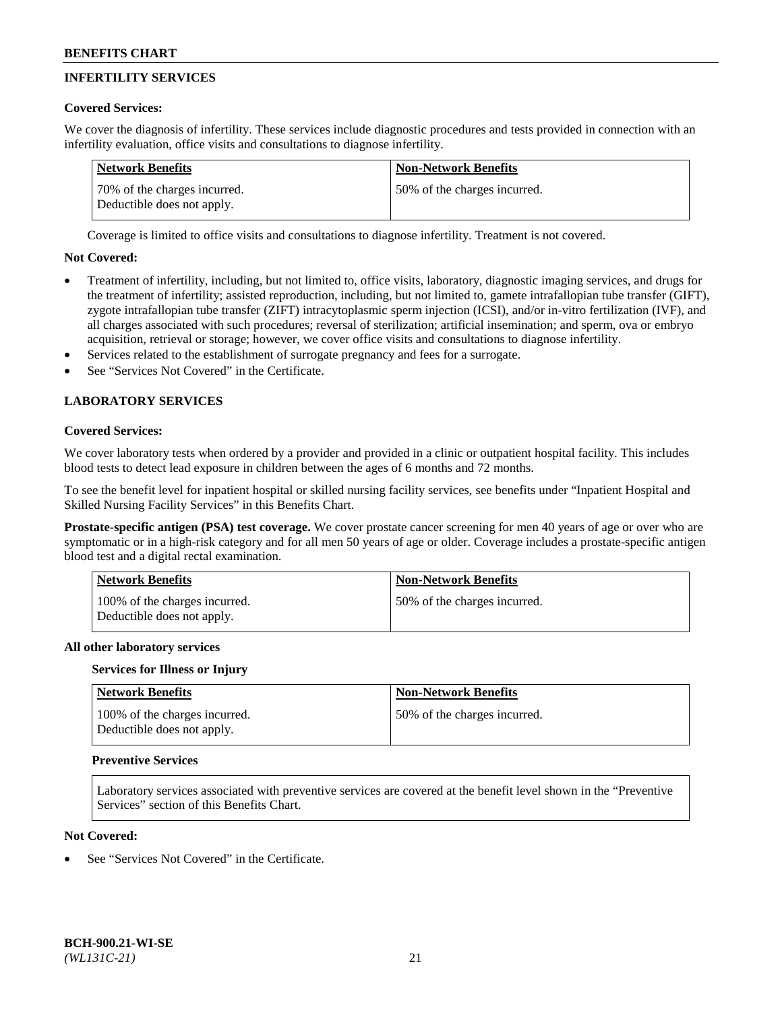# **INFERTILITY SERVICES**

## **Covered Services:**

We cover the diagnosis of infertility. These services include diagnostic procedures and tests provided in connection with an infertility evaluation, office visits and consultations to diagnose infertility.

| Network Benefits                                           | <b>Non-Network Benefits</b>  |
|------------------------------------------------------------|------------------------------|
| 70% of the charges incurred.<br>Deductible does not apply. | 50% of the charges incurred. |

Coverage is limited to office visits and consultations to diagnose infertility. Treatment is not covered.

## **Not Covered:**

- Treatment of infertility, including, but not limited to, office visits, laboratory, diagnostic imaging services, and drugs for the treatment of infertility; assisted reproduction, including, but not limited to, gamete intrafallopian tube transfer (GIFT), zygote intrafallopian tube transfer (ZIFT) intracytoplasmic sperm injection (ICSI), and/or in-vitro fertilization (IVF), and all charges associated with such procedures; reversal of sterilization; artificial insemination; and sperm, ova or embryo acquisition, retrieval or storage; however, we cover office visits and consultations to diagnose infertility.
- Services related to the establishment of surrogate pregnancy and fees for a surrogate.
- See "Services Not Covered" in the Certificate.

## **LABORATORY SERVICES**

### **Covered Services:**

We cover laboratory tests when ordered by a provider and provided in a clinic or outpatient hospital facility. This includes blood tests to detect lead exposure in children between the ages of 6 months and 72 months.

To see the benefit level for inpatient hospital or skilled nursing facility services, see benefits under "Inpatient Hospital and Skilled Nursing Facility Services" in this Benefits Chart.

**Prostate-specific antigen (PSA) test coverage.** We cover prostate cancer screening for men 40 years of age or over who are symptomatic or in a high-risk category and for all men 50 years of age or older. Coverage includes a prostate-specific antigen blood test and a digital rectal examination.

| <b>Network Benefits</b>                                     | <b>Non-Network Benefits</b>   |
|-------------------------------------------------------------|-------------------------------|
| 100% of the charges incurred.<br>Deductible does not apply. | 150% of the charges incurred. |

#### **All other laboratory services**

#### **Services for Illness or Injury**

| Network Benefits                                            | <b>Non-Network Benefits</b>  |
|-------------------------------------------------------------|------------------------------|
| 100% of the charges incurred.<br>Deductible does not apply. | 50% of the charges incurred. |

#### **Preventive Services**

Laboratory services associated with preventive services are covered at the benefit level shown in the "Preventive Services" section of this Benefits Chart.

## **Not Covered:**

See "Services Not Covered" in the Certificate.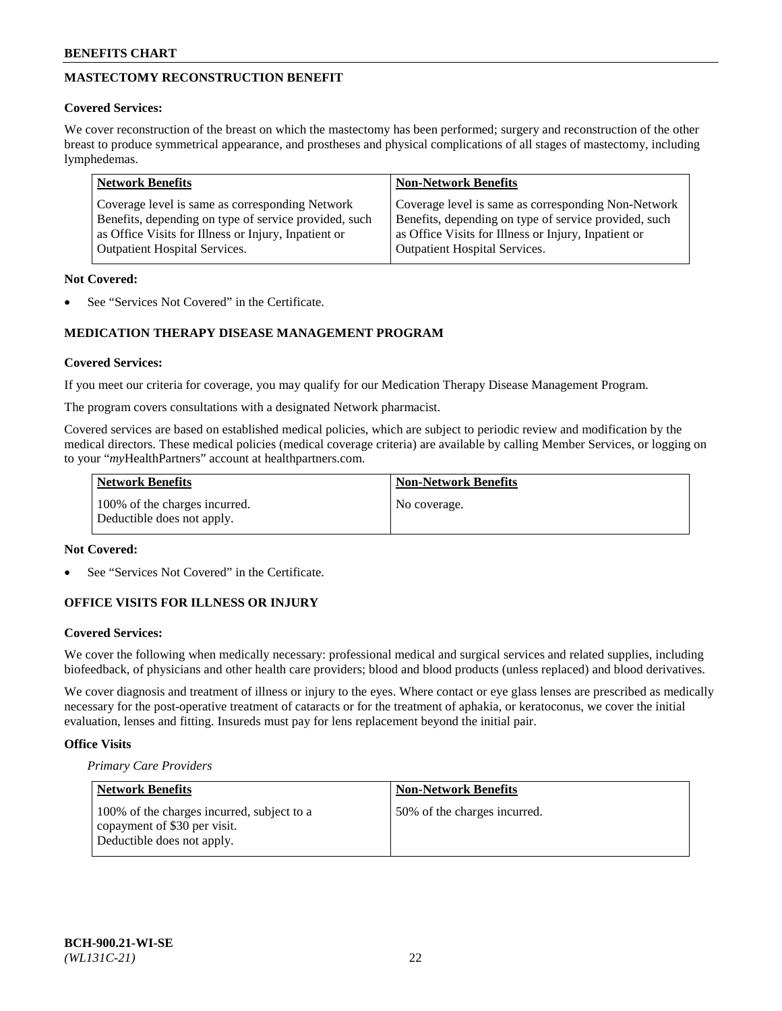# **MASTECTOMY RECONSTRUCTION BENEFIT**

## **Covered Services:**

We cover reconstruction of the breast on which the mastectomy has been performed; surgery and reconstruction of the other breast to produce symmetrical appearance, and prostheses and physical complications of all stages of mastectomy, including lymphedemas.

| <b>Network Benefits</b>                               | <b>Non-Network Benefits</b>                           |
|-------------------------------------------------------|-------------------------------------------------------|
| Coverage level is same as corresponding Network       | Coverage level is same as corresponding Non-Network   |
| Benefits, depending on type of service provided, such | Benefits, depending on type of service provided, such |
| as Office Visits for Illness or Injury, Inpatient or  | as Office Visits for Illness or Injury, Inpatient or  |
| <b>Outpatient Hospital Services.</b>                  | <b>Outpatient Hospital Services.</b>                  |

## **Not Covered:**

See "Services Not Covered" in the Certificate.

## **MEDICATION THERAPY DISEASE MANAGEMENT PROGRAM**

## **Covered Services:**

If you meet our criteria for coverage, you may qualify for our Medication Therapy Disease Management Program.

The program covers consultations with a designated Network pharmacist.

Covered services are based on established medical policies, which are subject to periodic review and modification by the medical directors. These medical policies (medical coverage criteria) are available by calling Member Services, or logging on to your "*my*HealthPartners" account at [healthpartners.com.](http://www.healthpartners.com/)

| <b>Network Benefits</b>                                     | <b>Non-Network Benefits</b> |
|-------------------------------------------------------------|-----------------------------|
| 100% of the charges incurred.<br>Deductible does not apply. | No coverage.                |

## **Not Covered:**

See "Services Not Covered" in the Certificate.

## **OFFICE VISITS FOR ILLNESS OR INJURY**

## **Covered Services:**

We cover the following when medically necessary: professional medical and surgical services and related supplies, including biofeedback, of physicians and other health care providers; blood and blood products (unless replaced) and blood derivatives.

We cover diagnosis and treatment of illness or injury to the eyes. Where contact or eye glass lenses are prescribed as medically necessary for the post-operative treatment of cataracts or for the treatment of aphakia, or keratoconus, we cover the initial evaluation, lenses and fitting. Insureds must pay for lens replacement beyond the initial pair.

## **Office Visits**

*Primary Care Providers*

| <b>Network Benefits</b>                                                                                  | <b>Non-Network Benefits</b>  |
|----------------------------------------------------------------------------------------------------------|------------------------------|
| 100% of the charges incurred, subject to a<br>copayment of \$30 per visit.<br>Deductible does not apply. | 50% of the charges incurred. |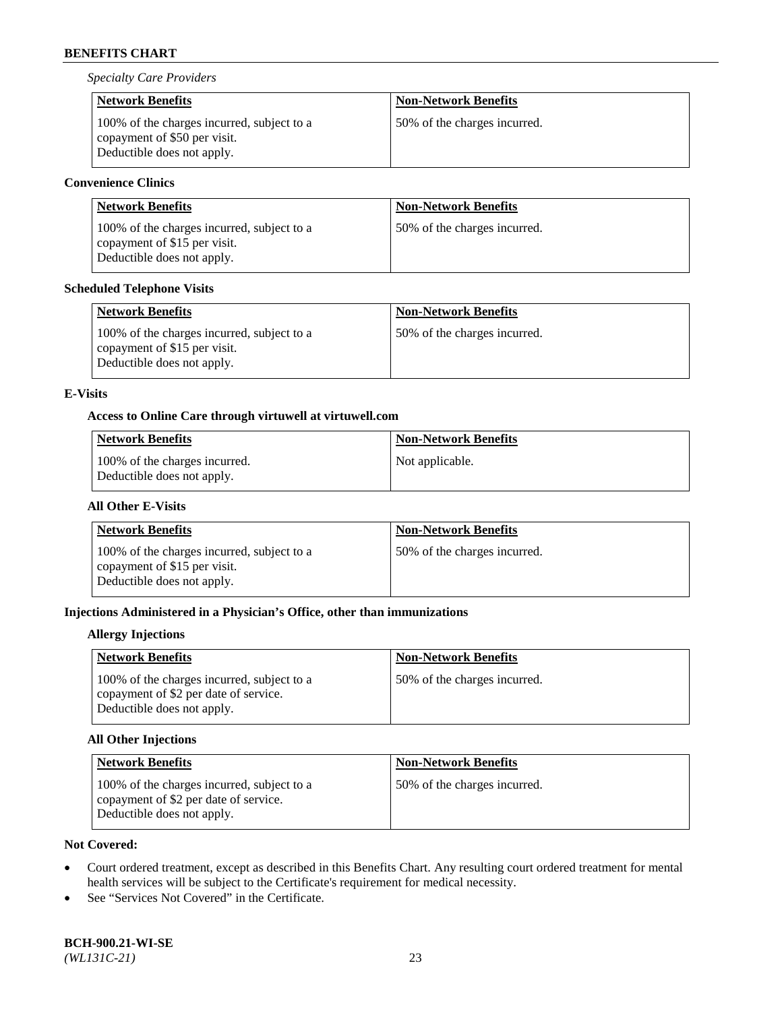*Specialty Care Providers*

| <b>Network Benefits</b>                                                                                  | <b>Non-Network Benefits</b>  |
|----------------------------------------------------------------------------------------------------------|------------------------------|
| 100% of the charges incurred, subject to a<br>copayment of \$50 per visit.<br>Deductible does not apply. | 50% of the charges incurred. |

## **Convenience Clinics**

| <b>Network Benefits</b>                                                                                  | <b>Non-Network Benefits</b>  |
|----------------------------------------------------------------------------------------------------------|------------------------------|
| 100% of the charges incurred, subject to a<br>copayment of \$15 per visit.<br>Deductible does not apply. | 50% of the charges incurred. |

## **Scheduled Telephone Visits**

| <b>Network Benefits</b>                                                                                  | <b>Non-Network Benefits</b>  |
|----------------------------------------------------------------------------------------------------------|------------------------------|
| 100% of the charges incurred, subject to a<br>copayment of \$15 per visit.<br>Deductible does not apply. | 50% of the charges incurred. |

## **E-Visits**

### **Access to Online Care through virtuwell a[t virtuwell.com](https://www.virtuwell.com/)**

| <b>Network Benefits</b>                                     | Non-Network Benefits |
|-------------------------------------------------------------|----------------------|
| 100% of the charges incurred.<br>Deductible does not apply. | Not applicable.      |

## **All Other E-Visits**

| <b>Network Benefits</b>                                                                                  | <b>Non-Network Benefits</b>  |
|----------------------------------------------------------------------------------------------------------|------------------------------|
| 100% of the charges incurred, subject to a<br>copayment of \$15 per visit.<br>Deductible does not apply. | 50% of the charges incurred. |

## **Injections Administered in a Physician's Office, other than immunizations**

### **Allergy Injections**

| <b>Network Benefits</b>                                                                                           | <b>Non-Network Benefits</b>  |
|-------------------------------------------------------------------------------------------------------------------|------------------------------|
| 100% of the charges incurred, subject to a<br>copayment of \$2 per date of service.<br>Deductible does not apply. | 50% of the charges incurred. |

## **All Other Injections**

| <b>Network Benefits</b>                                                                                           | <b>Non-Network Benefits</b>  |
|-------------------------------------------------------------------------------------------------------------------|------------------------------|
| 100% of the charges incurred, subject to a<br>copayment of \$2 per date of service.<br>Deductible does not apply. | 50% of the charges incurred. |

## **Not Covered:**

- Court ordered treatment, except as described in this Benefits Chart. Any resulting court ordered treatment for mental health services will be subject to the Certificate's requirement for medical necessity.
- See "Services Not Covered" in the Certificate.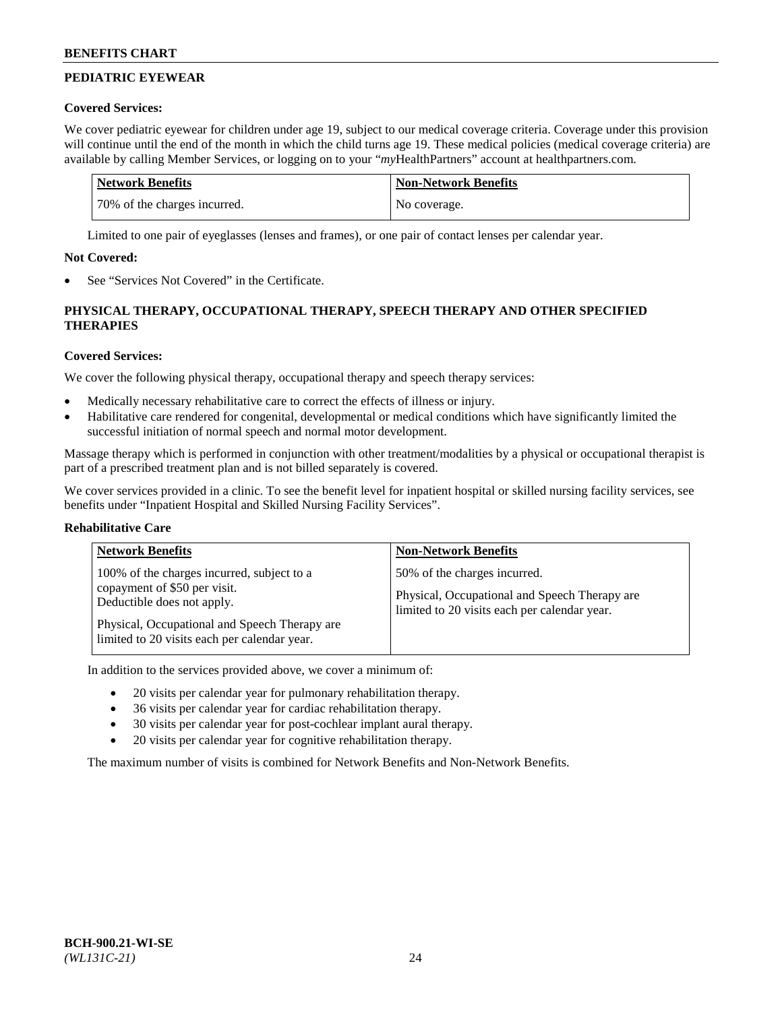# **PEDIATRIC EYEWEAR**

## **Covered Services:**

We cover pediatric eyewear for children under age 19, subject to our medical coverage criteria. Coverage under this provision will continue until the end of the month in which the child turns age 19. These medical policies (medical coverage criteria) are available by calling Member Services, or logging on to your "*my*HealthPartners" account a[t healthpartners.com.](https://www.healthpartners.com/hp/index.html)

| Network Benefits             | <b>Non-Network Benefits</b> |
|------------------------------|-----------------------------|
| 70% of the charges incurred. | No coverage.                |

Limited to one pair of eyeglasses (lenses and frames), or one pair of contact lenses per calendar year.

## **Not Covered:**

See "Services Not Covered" in the Certificate.

## **PHYSICAL THERAPY, OCCUPATIONAL THERAPY, SPEECH THERAPY AND OTHER SPECIFIED THERAPIES**

## **Covered Services:**

We cover the following physical therapy, occupational therapy and speech therapy services:

- Medically necessary rehabilitative care to correct the effects of illness or injury.
- Habilitative care rendered for congenital, developmental or medical conditions which have significantly limited the successful initiation of normal speech and normal motor development.

Massage therapy which is performed in conjunction with other treatment/modalities by a physical or occupational therapist is part of a prescribed treatment plan and is not billed separately is covered.

We cover services provided in a clinic. To see the benefit level for inpatient hospital or skilled nursing facility services, see benefits under "Inpatient Hospital and Skilled Nursing Facility Services".

## **Rehabilitative Care**

| <b>Network Benefits</b>                                                                                                                                                                                   | <b>Non-Network Benefits</b>                                                                                                   |
|-----------------------------------------------------------------------------------------------------------------------------------------------------------------------------------------------------------|-------------------------------------------------------------------------------------------------------------------------------|
| 100% of the charges incurred, subject to a<br>copayment of \$50 per visit.<br>Deductible does not apply.<br>Physical, Occupational and Speech Therapy are<br>limited to 20 visits each per calendar year. | 50% of the charges incurred.<br>Physical, Occupational and Speech Therapy are<br>limited to 20 visits each per calendar year. |

In addition to the services provided above, we cover a minimum of:

- 20 visits per calendar year for pulmonary rehabilitation therapy.
- 36 visits per calendar year for cardiac rehabilitation therapy.
- 30 visits per calendar year for post-cochlear implant aural therapy.
- 20 visits per calendar year for cognitive rehabilitation therapy.

The maximum number of visits is combined for Network Benefits and Non-Network Benefits.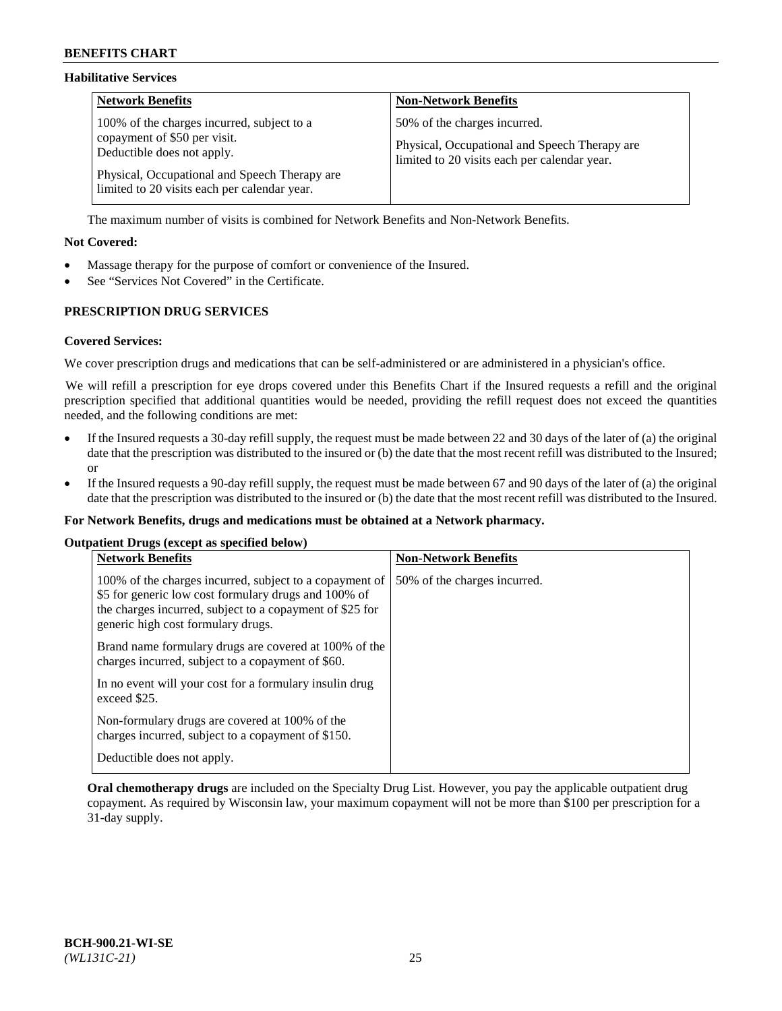### **Habilitative Services**

| <b>Network Benefits</b>                                                                                                                                                                                   | <b>Non-Network Benefits</b>                                                                                                   |
|-----------------------------------------------------------------------------------------------------------------------------------------------------------------------------------------------------------|-------------------------------------------------------------------------------------------------------------------------------|
| 100% of the charges incurred, subject to a<br>copayment of \$50 per visit.<br>Deductible does not apply.<br>Physical, Occupational and Speech Therapy are<br>limited to 20 visits each per calendar year. | 50% of the charges incurred.<br>Physical, Occupational and Speech Therapy are<br>limited to 20 visits each per calendar year. |

The maximum number of visits is combined for Network Benefits and Non-Network Benefits.

### **Not Covered:**

- Massage therapy for the purpose of comfort or convenience of the Insured.
- See "Services Not Covered" in the Certificate.

## **PRESCRIPTION DRUG SERVICES**

### **Covered Services:**

We cover prescription drugs and medications that can be self-administered or are administered in a physician's office.

We will refill a prescription for eye drops covered under this Benefits Chart if the Insured requests a refill and the original prescription specified that additional quantities would be needed, providing the refill request does not exceed the quantities needed, and the following conditions are met:

- If the Insured requests a 30-day refill supply, the request must be made between 22 and 30 days of the later of (a) the original date that the prescription was distributed to the insured or (b) the date that the most recent refill was distributed to the Insured; or
- If the Insured requests a 90-day refill supply, the request must be made between 67 and 90 days of the later of (a) the original date that the prescription was distributed to the insured or (b) the date that the most recent refill was distributed to the Insured.

#### **For Network Benefits, drugs and medications must be obtained at a Network pharmacy.**

#### **Outpatient Drugs (except as specified below)**

| <b>Network Benefits</b>                                                                                                                                                                                           | <b>Non-Network Benefits</b>  |
|-------------------------------------------------------------------------------------------------------------------------------------------------------------------------------------------------------------------|------------------------------|
| 100% of the charges incurred, subject to a copayment of<br>\$5 for generic low cost formulary drugs and 100% of<br>the charges incurred, subject to a copayment of \$25 for<br>generic high cost formulary drugs. | 50% of the charges incurred. |
| Brand name formulary drugs are covered at 100% of the<br>charges incurred, subject to a copayment of \$60.                                                                                                        |                              |
| In no event will your cost for a formulary insulin drug<br>exceed \$25.                                                                                                                                           |                              |
| Non-formulary drugs are covered at 100% of the<br>charges incurred, subject to a copayment of \$150.                                                                                                              |                              |
| Deductible does not apply.                                                                                                                                                                                        |                              |

**Oral chemotherapy drugs** are included on the Specialty Drug List. However, you pay the applicable outpatient drug copayment. As required by Wisconsin law, your maximum copayment will not be more than \$100 per prescription for a 31-day supply.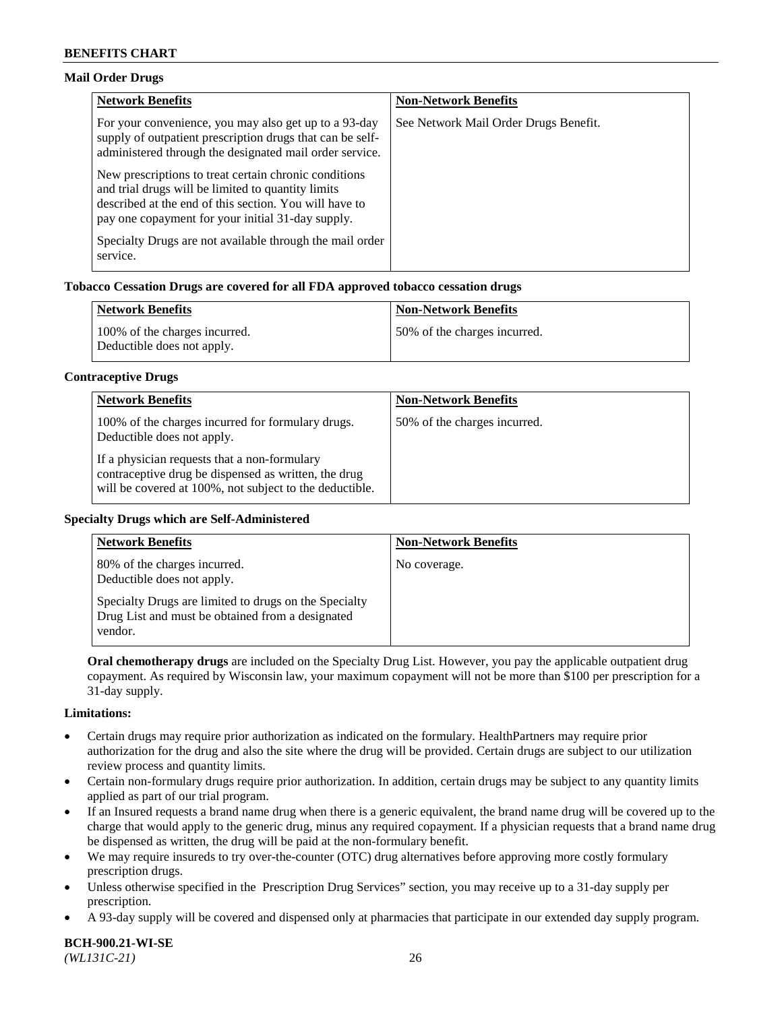### **Mail Order Drugs**

| <b>Network Benefits</b>                                                                                                                                                                                                    | <b>Non-Network Benefits</b>           |
|----------------------------------------------------------------------------------------------------------------------------------------------------------------------------------------------------------------------------|---------------------------------------|
| For your convenience, you may also get up to a 93-day<br>supply of outpatient prescription drugs that can be self-<br>administered through the designated mail order service.                                              | See Network Mail Order Drugs Benefit. |
| New prescriptions to treat certain chronic conditions<br>and trial drugs will be limited to quantity limits<br>described at the end of this section. You will have to<br>pay one copayment for your initial 31-day supply. |                                       |
| Specialty Drugs are not available through the mail order<br>service.                                                                                                                                                       |                                       |

## **Tobacco Cessation Drugs are covered for all FDA approved tobacco cessation drugs**

| <b>Network Benefits</b>                                     | <b>Non-Network Benefits</b>  |
|-------------------------------------------------------------|------------------------------|
| 100% of the charges incurred.<br>Deductible does not apply. | 50% of the charges incurred. |

### **Contraceptive Drugs**

| <b>Network Benefits</b>                                                                                                                                         | <b>Non-Network Benefits</b>  |
|-----------------------------------------------------------------------------------------------------------------------------------------------------------------|------------------------------|
| 100% of the charges incurred for formulary drugs.<br>Deductible does not apply.                                                                                 | 50% of the charges incurred. |
| If a physician requests that a non-formulary<br>contraceptive drug be dispensed as written, the drug<br>will be covered at 100%, not subject to the deductible. |                              |

#### **Specialty Drugs which are Self-Administered**

| <b>Network Benefits</b>                                                                                              | <b>Non-Network Benefits</b> |
|----------------------------------------------------------------------------------------------------------------------|-----------------------------|
| 80% of the charges incurred.<br>Deductible does not apply.                                                           | No coverage.                |
| Specialty Drugs are limited to drugs on the Specialty<br>Drug List and must be obtained from a designated<br>vendor. |                             |

**Oral chemotherapy drugs** are included on the Specialty Drug List. However, you pay the applicable outpatient drug copayment. As required by Wisconsin law, your maximum copayment will not be more than \$100 per prescription for a 31-day supply.

#### **Limitations:**

- Certain drugs may require prior authorization as indicated on the formulary. HealthPartners may require prior authorization for the drug and also the site where the drug will be provided. Certain drugs are subject to our utilization review process and quantity limits.
- Certain non-formulary drugs require prior authorization. In addition, certain drugs may be subject to any quantity limits applied as part of our trial program.
- If an Insured requests a brand name drug when there is a generic equivalent, the brand name drug will be covered up to the charge that would apply to the generic drug, minus any required copayment. If a physician requests that a brand name drug be dispensed as written, the drug will be paid at the non-formulary benefit.
- We may require insureds to try over-the-counter (OTC) drug alternatives before approving more costly formulary prescription drugs.
- Unless otherwise specified in the Prescription Drug Services" section, you may receive up to a 31-day supply per prescription.
- A 93-day supply will be covered and dispensed only at pharmacies that participate in our extended day supply program.

**BCH-900.21-WI-SE**  *(WL131C-21)* 26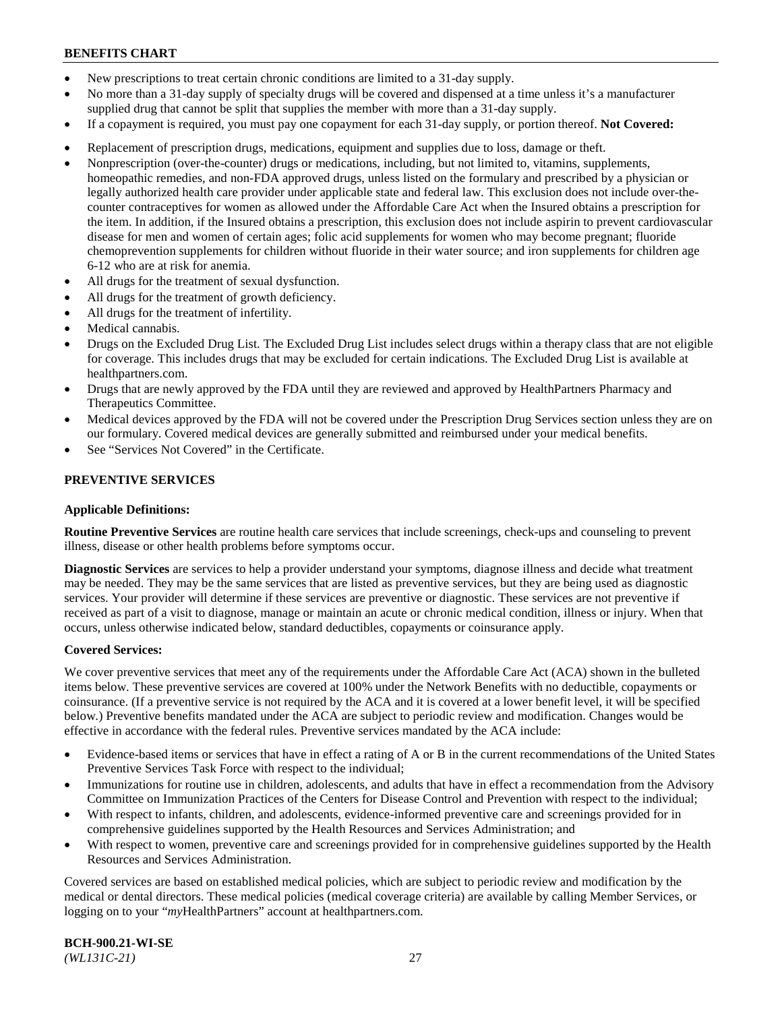- New prescriptions to treat certain chronic conditions are limited to a 31-day supply.
- No more than a 31-day supply of specialty drugs will be covered and dispensed at a time unless it's a manufacturer supplied drug that cannot be split that supplies the member with more than a 31-day supply.
- If a copayment is required, you must pay one copayment for each 31-day supply, or portion thereof. **Not Covered:**
- Replacement of prescription drugs, medications, equipment and supplies due to loss, damage or theft.
- Nonprescription (over-the-counter) drugs or medications, including, but not limited to, vitamins, supplements, homeopathic remedies, and non-FDA approved drugs, unless listed on the formulary and prescribed by a physician or legally authorized health care provider under applicable state and federal law. This exclusion does not include over-thecounter contraceptives for women as allowed under the Affordable Care Act when the Insured obtains a prescription for the item. In addition, if the Insured obtains a prescription, this exclusion does not include aspirin to prevent cardiovascular disease for men and women of certain ages; folic acid supplements for women who may become pregnant; fluoride chemoprevention supplements for children without fluoride in their water source; and iron supplements for children age 6-12 who are at risk for anemia.
- All drugs for the treatment of sexual dysfunction.
- All drugs for the treatment of growth deficiency.
- All drugs for the treatment of infertility.
- Medical cannabis.
- Drugs on the Excluded Drug List. The Excluded Drug List includes select drugs within a therapy class that are not eligible for coverage. This includes drugs that may be excluded for certain indications. The Excluded Drug List is available at [healthpartners.com.](http://www.healthpartners.com/)
- Drugs that are newly approved by the FDA until they are reviewed and approved by HealthPartners Pharmacy and Therapeutics Committee.
- Medical devices approved by the FDA will not be covered under the Prescription Drug Services section unless they are on our formulary. Covered medical devices are generally submitted and reimbursed under your medical benefits.
- See "Services Not Covered" in the Certificate.

## **PREVENTIVE SERVICES**

#### **Applicable Definitions:**

**Routine Preventive Services** are routine health care services that include screenings, check-ups and counseling to prevent illness, disease or other health problems before symptoms occur.

**Diagnostic Services** are services to help a provider understand your symptoms, diagnose illness and decide what treatment may be needed. They may be the same services that are listed as preventive services, but they are being used as diagnostic services. Your provider will determine if these services are preventive or diagnostic. These services are not preventive if received as part of a visit to diagnose, manage or maintain an acute or chronic medical condition, illness or injury. When that occurs, unless otherwise indicated below, standard deductibles, copayments or coinsurance apply.

#### **Covered Services:**

We cover preventive services that meet any of the requirements under the Affordable Care Act (ACA) shown in the bulleted items below. These preventive services are covered at 100% under the Network Benefits with no deductible, copayments or coinsurance. (If a preventive service is not required by the ACA and it is covered at a lower benefit level, it will be specified below.) Preventive benefits mandated under the ACA are subject to periodic review and modification. Changes would be effective in accordance with the federal rules. Preventive services mandated by the ACA include:

- Evidence-based items or services that have in effect a rating of A or B in the current recommendations of the United States Preventive Services Task Force with respect to the individual;
- Immunizations for routine use in children, adolescents, and adults that have in effect a recommendation from the Advisory Committee on Immunization Practices of the Centers for Disease Control and Prevention with respect to the individual;
- With respect to infants, children, and adolescents, evidence-informed preventive care and screenings provided for in comprehensive guidelines supported by the Health Resources and Services Administration; and
- With respect to women, preventive care and screenings provided for in comprehensive guidelines supported by the Health Resources and Services Administration.

Covered services are based on established medical policies, which are subject to periodic review and modification by the medical or dental directors. These medical policies (medical coverage criteria) are available by calling Member Services, or logging on to your "*my*HealthPartners" account at [healthpartners.com.](https://www.healthpartners.com/hp/index.html)

**BCH-900.21-WI-SE**  *(WL131C-21)* 27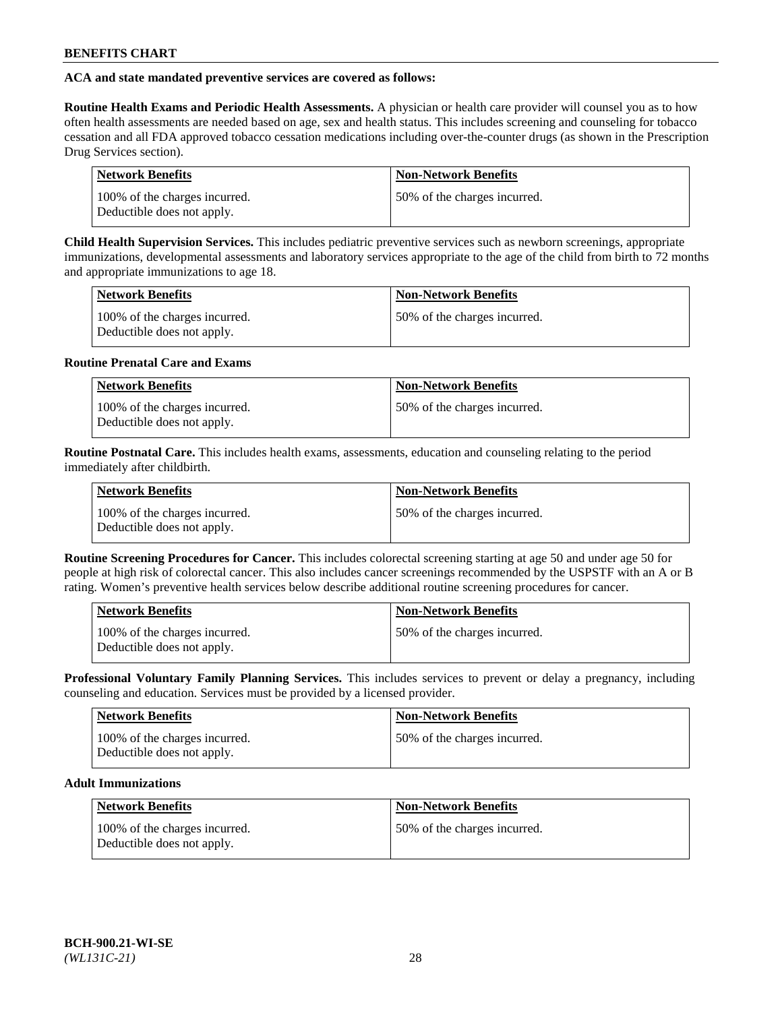## **ACA and state mandated preventive services are covered as follows:**

**Routine Health Exams and Periodic Health Assessments.** A physician or health care provider will counsel you as to how often health assessments are needed based on age, sex and health status. This includes screening and counseling for tobacco cessation and all FDA approved tobacco cessation medications including over-the-counter drugs (as shown in the Prescription Drug Services section).

| Network Benefits                                            | <b>Non-Network Benefits</b>  |
|-------------------------------------------------------------|------------------------------|
| 100% of the charges incurred.<br>Deductible does not apply. | 50% of the charges incurred. |

**Child Health Supervision Services.** This includes pediatric preventive services such as newborn screenings, appropriate immunizations, developmental assessments and laboratory services appropriate to the age of the child from birth to 72 months and appropriate immunizations to age 18.

| <b>Network Benefits</b>                                     | <b>Non-Network Benefits</b>  |
|-------------------------------------------------------------|------------------------------|
| 100% of the charges incurred.<br>Deductible does not apply. | 50% of the charges incurred. |

### **Routine Prenatal Care and Exams**

| <b>Network Benefits</b>                                     | <b>Non-Network Benefits</b>   |
|-------------------------------------------------------------|-------------------------------|
| 100% of the charges incurred.<br>Deductible does not apply. | 150% of the charges incurred. |

**Routine Postnatal Care.** This includes health exams, assessments, education and counseling relating to the period immediately after childbirth.

| <b>Network Benefits</b>                                     | <b>Non-Network Benefits</b>  |
|-------------------------------------------------------------|------------------------------|
| 100% of the charges incurred.<br>Deductible does not apply. | 50% of the charges incurred. |

**Routine Screening Procedures for Cancer.** This includes colorectal screening starting at age 50 and under age 50 for people at high risk of colorectal cancer. This also includes cancer screenings recommended by the USPSTF with an A or B rating. Women's preventive health services below describe additional routine screening procedures for cancer.

| <b>Network Benefits</b>                                     | <b>Non-Network Benefits</b>  |
|-------------------------------------------------------------|------------------------------|
| 100% of the charges incurred.<br>Deductible does not apply. | 50% of the charges incurred. |

**Professional Voluntary Family Planning Services.** This includes services to prevent or delay a pregnancy, including counseling and education. Services must be provided by a licensed provider.

| <b>Network Benefits</b>                                     | <b>Non-Network Benefits</b>  |
|-------------------------------------------------------------|------------------------------|
| 100% of the charges incurred.<br>Deductible does not apply. | 50% of the charges incurred. |

## **Adult Immunizations**

| <b>Network Benefits</b>                                     | Non-Network Benefits         |
|-------------------------------------------------------------|------------------------------|
| 100% of the charges incurred.<br>Deductible does not apply. | 50% of the charges incurred. |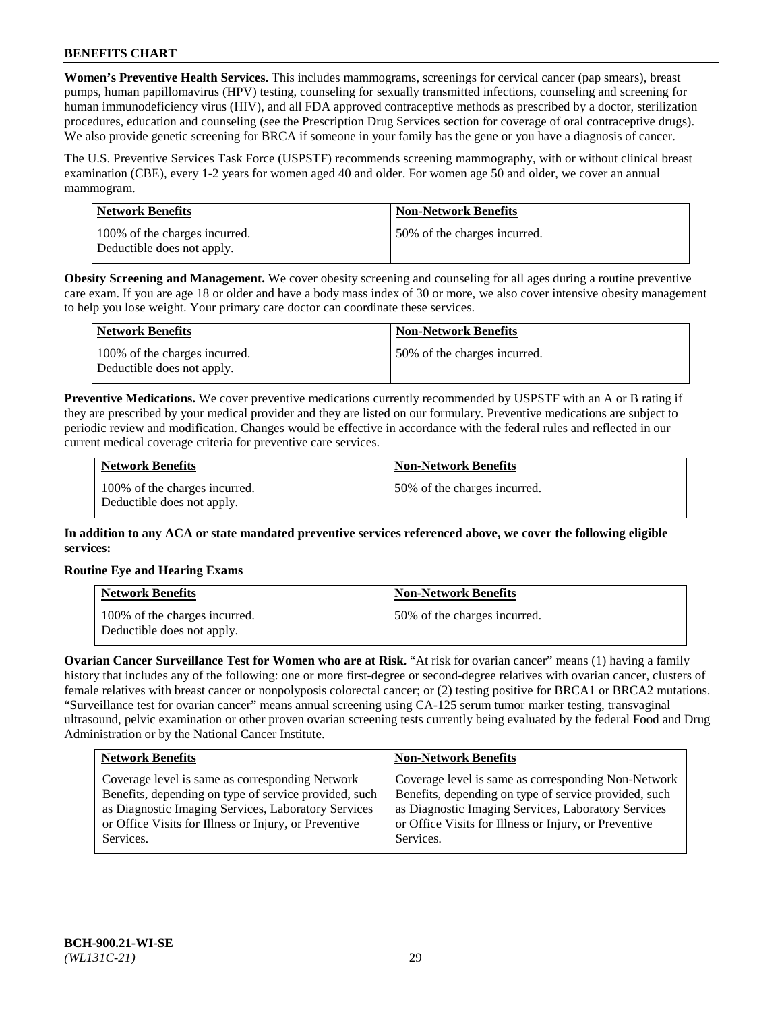**Women's Preventive Health Services.** This includes mammograms, screenings for cervical cancer (pap smears), breast pumps, human papillomavirus (HPV) testing, counseling for sexually transmitted infections, counseling and screening for human immunodeficiency virus (HIV), and all FDA approved contraceptive methods as prescribed by a doctor, sterilization procedures, education and counseling (see the Prescription Drug Services section for coverage of oral contraceptive drugs). We also provide genetic screening for BRCA if someone in your family has the gene or you have a diagnosis of cancer.

The U.S. Preventive Services Task Force (USPSTF) recommends screening mammography, with or without clinical breast examination (CBE), every 1-2 years for women aged 40 and older. For women age 50 and older, we cover an annual mammogram.

| Network Benefits                                            | <b>Non-Network Benefits</b>  |
|-------------------------------------------------------------|------------------------------|
| 100% of the charges incurred.<br>Deductible does not apply. | 50% of the charges incurred. |

**Obesity Screening and Management.** We cover obesity screening and counseling for all ages during a routine preventive care exam. If you are age 18 or older and have a body mass index of 30 or more, we also cover intensive obesity management to help you lose weight. Your primary care doctor can coordinate these services.

| Network Benefits                                            | <b>Non-Network Benefits</b>  |
|-------------------------------------------------------------|------------------------------|
| 100% of the charges incurred.<br>Deductible does not apply. | 50% of the charges incurred. |

**Preventive Medications.** We cover preventive medications currently recommended by USPSTF with an A or B rating if they are prescribed by your medical provider and they are listed on our formulary. Preventive medications are subject to periodic review and modification. Changes would be effective in accordance with the federal rules and reflected in our current medical coverage criteria for preventive care services.

| <b>Network Benefits</b>                                     | <b>Non-Network Benefits</b>  |
|-------------------------------------------------------------|------------------------------|
| 100% of the charges incurred.<br>Deductible does not apply. | 50% of the charges incurred. |

**In addition to any ACA or state mandated preventive services referenced above, we cover the following eligible services:**

## **Routine Eye and Hearing Exams**

| <b>Network Benefits</b>                                     | <b>Non-Network Benefits</b>  |
|-------------------------------------------------------------|------------------------------|
| 100% of the charges incurred.<br>Deductible does not apply. | 50% of the charges incurred. |

**Ovarian Cancer Surveillance Test for Women who are at Risk.** "At risk for ovarian cancer" means (1) having a family history that includes any of the following: one or more first-degree or second-degree relatives with ovarian cancer, clusters of female relatives with breast cancer or nonpolyposis colorectal cancer; or (2) testing positive for BRCA1 or BRCA2 mutations. "Surveillance test for ovarian cancer" means annual screening using CA-125 serum tumor marker testing, transvaginal ultrasound, pelvic examination or other proven ovarian screening tests currently being evaluated by the federal Food and Drug Administration or by the National Cancer Institute.

| <b>Network Benefits</b>                               | <b>Non-Network Benefits</b>                           |
|-------------------------------------------------------|-------------------------------------------------------|
| Coverage level is same as corresponding Network       | Coverage level is same as corresponding Non-Network   |
| Benefits, depending on type of service provided, such | Benefits, depending on type of service provided, such |
| as Diagnostic Imaging Services, Laboratory Services   | as Diagnostic Imaging Services, Laboratory Services   |
| or Office Visits for Illness or Injury, or Preventive | or Office Visits for Illness or Injury, or Preventive |
| Services.                                             | Services.                                             |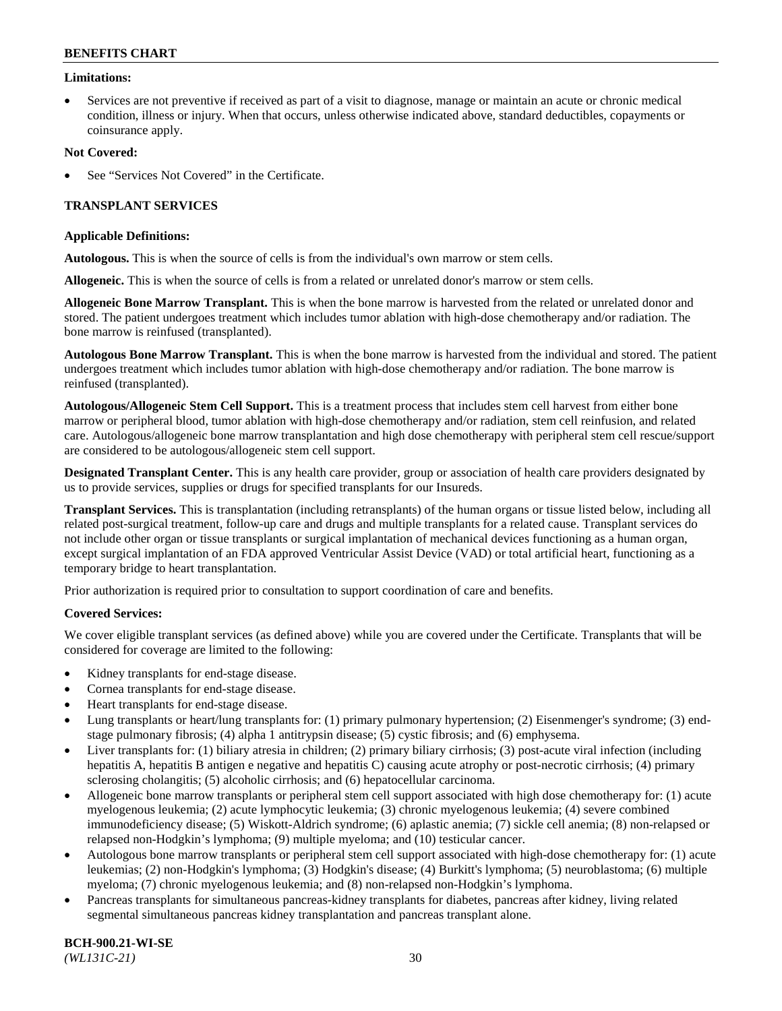### **Limitations:**

• Services are not preventive if received as part of a visit to diagnose, manage or maintain an acute or chronic medical condition, illness or injury. When that occurs, unless otherwise indicated above, standard deductibles, copayments or coinsurance apply.

### **Not Covered:**

See "Services Not Covered" in the Certificate.

## **TRANSPLANT SERVICES**

### **Applicable Definitions:**

**Autologous.** This is when the source of cells is from the individual's own marrow or stem cells.

**Allogeneic.** This is when the source of cells is from a related or unrelated donor's marrow or stem cells.

**Allogeneic Bone Marrow Transplant.** This is when the bone marrow is harvested from the related or unrelated donor and stored. The patient undergoes treatment which includes tumor ablation with high-dose chemotherapy and/or radiation. The bone marrow is reinfused (transplanted).

**Autologous Bone Marrow Transplant.** This is when the bone marrow is harvested from the individual and stored. The patient undergoes treatment which includes tumor ablation with high-dose chemotherapy and/or radiation. The bone marrow is reinfused (transplanted).

**Autologous/Allogeneic Stem Cell Support.** This is a treatment process that includes stem cell harvest from either bone marrow or peripheral blood, tumor ablation with high-dose chemotherapy and/or radiation, stem cell reinfusion, and related care. Autologous/allogeneic bone marrow transplantation and high dose chemotherapy with peripheral stem cell rescue/support are considered to be autologous/allogeneic stem cell support.

**Designated Transplant Center.** This is any health care provider, group or association of health care providers designated by us to provide services, supplies or drugs for specified transplants for our Insureds.

**Transplant Services.** This is transplantation (including retransplants) of the human organs or tissue listed below, including all related post-surgical treatment, follow-up care and drugs and multiple transplants for a related cause. Transplant services do not include other organ or tissue transplants or surgical implantation of mechanical devices functioning as a human organ, except surgical implantation of an FDA approved Ventricular Assist Device (VAD) or total artificial heart, functioning as a temporary bridge to heart transplantation.

Prior authorization is required prior to consultation to support coordination of care and benefits.

## **Covered Services:**

We cover eligible transplant services (as defined above) while you are covered under the Certificate. Transplants that will be considered for coverage are limited to the following:

- Kidney transplants for end-stage disease.
- Cornea transplants for end-stage disease.
- Heart transplants for end-stage disease.
- Lung transplants or heart/lung transplants for: (1) primary pulmonary hypertension; (2) Eisenmenger's syndrome; (3) endstage pulmonary fibrosis; (4) alpha 1 antitrypsin disease; (5) cystic fibrosis; and (6) emphysema.
- Liver transplants for: (1) biliary atresia in children; (2) primary biliary cirrhosis; (3) post-acute viral infection (including hepatitis A, hepatitis B antigen e negative and hepatitis C) causing acute atrophy or post-necrotic cirrhosis; (4) primary sclerosing cholangitis; (5) alcoholic cirrhosis; and (6) hepatocellular carcinoma.
- Allogeneic bone marrow transplants or peripheral stem cell support associated with high dose chemotherapy for: (1) acute myelogenous leukemia; (2) acute lymphocytic leukemia; (3) chronic myelogenous leukemia; (4) severe combined immunodeficiency disease; (5) Wiskott-Aldrich syndrome; (6) aplastic anemia; (7) sickle cell anemia; (8) non-relapsed or relapsed non-Hodgkin's lymphoma; (9) multiple myeloma; and (10) testicular cancer.
- Autologous bone marrow transplants or peripheral stem cell support associated with high-dose chemotherapy for: (1) acute leukemias; (2) non-Hodgkin's lymphoma; (3) Hodgkin's disease; (4) Burkitt's lymphoma; (5) neuroblastoma; (6) multiple myeloma; (7) chronic myelogenous leukemia; and (8) non-relapsed non-Hodgkin's lymphoma.
- Pancreas transplants for simultaneous pancreas-kidney transplants for diabetes, pancreas after kidney, living related segmental simultaneous pancreas kidney transplantation and pancreas transplant alone.